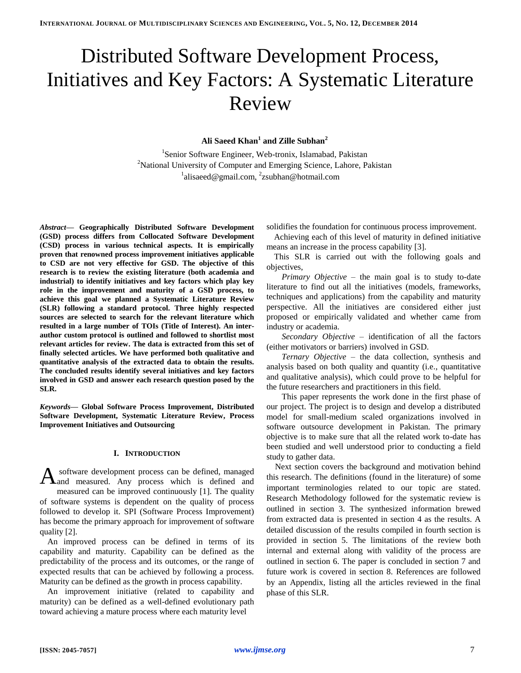# Distributed Software Development Process, Initiatives and Key Factors: A Systematic Literature Review

## **Ali Saeed Khan<sup>1</sup> and Zille Subhan<sup>2</sup>**

1 Senior Software Engineer, Web-tronix, Islamabad, Pakistan <sup>2</sup>National University of Computer and Emerging Science, Lahore, Pakistan <sup>1</sup>alisaeed@gmail.com, <sup>2</sup>zsubhan@hotmail.com

*Abstract***— Geographically Distributed Software Development (GSD) process differs from Collocated Software Development (CSD) process in various technical aspects. It is empirically proven that renowned process improvement initiatives applicable to CSD are not very effective for GSD. The objective of this research is to review the existing literature (both academia and industrial) to identify initiatives and key factors which play key role in the improvement and maturity of a GSD process, to achieve this goal we planned a Systematic Literature Review (SLR) following a standard protocol. Three highly respected sources are selected to search for the relevant literature which resulted in a large number of TOIs (Title of Interest). An interauthor custom protocol is outlined and followed to shortlist most relevant articles for review. The data is extracted from this set of finally selected articles. We have performed both qualitative and quantitative analysis of the extracted data to obtain the results. The concluded results identify several initiatives and key factors involved in GSD and answer each research question posed by the SLR.**

*Keywords***— Global Software Process Improvement, Distributed Software Development, Systematic Literature Review, Process Improvement Initiatives and Outsourcing**

## **I. INTRODUCTION**

software development process can be defined, managed A software development process can be defined, managed and measured. Any process which is defined and measured can be improved continuously [1]. The quality of software systems is dependent on the quality of process followed to develop it. SPI (Software Process Improvement) has become the primary approach for improvement of software quality [2].

An improved process can be defined in terms of its capability and maturity. Capability can be defined as the predictability of the process and its outcomes, or the range of expected results that can be achieved by following a process. Maturity can be defined as the growth in process capability.

An improvement initiative (related to capability and maturity) can be defined as a well-defined evolutionary path toward achieving a mature process where each maturity level

solidifies the foundation for continuous process improvement.

Achieving each of this level of maturity in defined initiative means an increase in the process capability [3].

This SLR is carried out with the following goals and objectives,

*Primary Objective* – the main goal is to study to-date literature to find out all the initiatives (models, frameworks, techniques and applications) from the capability and maturity perspective. All the initiatives are considered either just proposed or empirically validated and whether came from industry or academia.

*Secondary Objective* – identification of all the factors (either motivators or barriers) involved in GSD.

*Ternary Objective –* the data collection, synthesis and analysis based on both quality and quantity (i.e., quantitative and qualitative analysis), which could prove to be helpful for the future researchers and practitioners in this field.

This paper represents the work done in the first phase of our project. The project is to design and develop a distributed model for small-medium scaled organizations involved in software outsource development in Pakistan. The primary objective is to make sure that all the related work to-date has been studied and well understood prior to conducting a field study to gather data.

Next section covers the background and motivation behind this research. The definitions (found in the literature) of some important terminologies related to our topic are stated. Research Methodology followed for the systematic review is outlined in section 3. The synthesized information brewed from extracted data is presented in section 4 as the results. A detailed discussion of the results compiled in fourth section is provided in section 5. The limitations of the review both internal and external along with validity of the process are outlined in section 6. The paper is concluded in section 7 and future work is covered in section 8. References are followed by an Appendix, listing all the articles reviewed in the final phase of this SLR.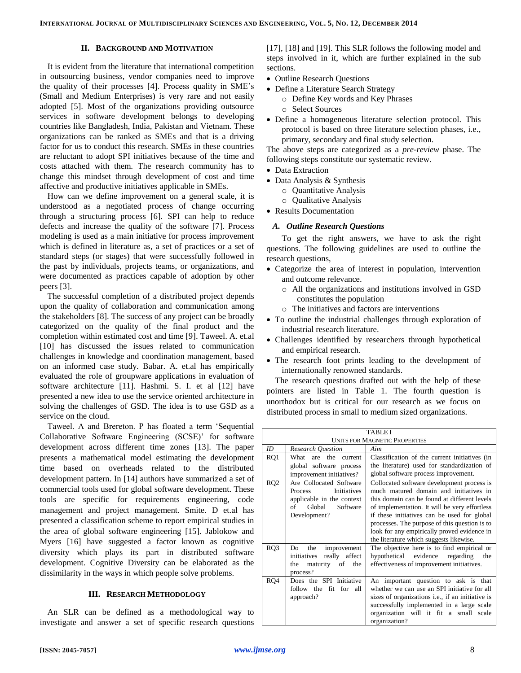## **II. BACKGROUND AND MOTIVATION**

It is evident from the literature that international competition in outsourcing business, vendor companies need to improve the quality of their processes [4]. Process quality in SME's (Small and Medium Enterprises) is very rare and not easily adopted [5]. Most of the organizations providing outsource services in software development belongs to developing countries like Bangladesh, India, Pakistan and Vietnam. These organizations can be ranked as SMEs and that is a driving factor for us to conduct this research. SMEs in these countries are reluctant to adopt SPI initiatives because of the time and costs attached with them. The research community has to change this mindset through development of cost and time affective and productive initiatives applicable in SMEs.

How can we define improvement on a general scale, it is understood as a negotiated process of change occurring through a structuring process [6]. SPI can help to reduce defects and increase the quality of the software [7]. Process modeling is used as a main initiative for process improvement which is defined in literature as, a set of practices or a set of standard steps (or stages) that were successfully followed in the past by individuals, projects teams, or organizations, and were documented as practices capable of adoption by other peers [3].

The successful completion of a distributed project depends upon the quality of collaboration and communication among the stakeholders [8]. The success of any project can be broadly categorized on the quality of the final product and the completion within estimated cost and time [9]. Taweel. A. et.al [10] has discussed the issues related to communication challenges in knowledge and coordination management, based on an informed case study. Babar. A. et.al has empirically evaluated the role of groupware applications in evaluation of software architecture [11]. Hashmi. S. I. et al [12] have presented a new idea to use the service oriented architecture in solving the challenges of GSD. The idea is to use GSD as a service on the cloud.

Taweel. A and Brereton. P has floated a term 'Sequential Collaborative Software Engineering (SCSE)' for software development across different time zones [13]. The paper presents a mathematical model estimating the development time based on overheads related to the distributed development pattern. In [14] authors have summarized a set of commercial tools used for global software development. These tools are specific for requirements engineering, code management and project management. Smite. D et.al has presented a classification scheme to report empirical studies in the area of global software engineering [15]. Jablokow and Myers [16] have suggested a factor known as cognitive diversity which plays its part in distributed software development. Cognitive Diversity can be elaborated as the dissimilarity in the ways in which people solve problems.

## **III. RESEARCH METHODOLOGY**

An SLR can be defined as a methodological way to investigate and answer a set of specific research questions [17], [18] and [19]. This SLR follows the following model and steps involved in it, which are further explained in the sub sections.

- Outline Research Questions
- Define a Literature Search Strategy
	- o Define Key words and Key Phrases
	- o Select Sources
- Define a homogeneous literature selection protocol. This protocol is based on three literature selection phases, i.e., primary, secondary and final study selection.

The above steps are categorized as a *pre-review* phase. The following steps constitute our systematic review.

- Data Extraction
- Data Analysis & Synthesis
	- o Quantitative Analysis
	- o Qualitative Analysis
- Results Documentation

## *A. Outline Research Questions*

To get the right answers, we have to ask the right questions. The following guidelines are used to outline the research questions,

- Categorize the area of interest in population, intervention and outcome relevance.
	- o All the organizations and institutions involved in GSD constitutes the population
	- o The initiatives and factors are interventions
- To outline the industrial challenges through exploration of industrial research literature.
- Challenges identified by researchers through hypothetical and empirical research.
- The research foot prints leading to the development of internationally renowned standards.

The research questions drafted out with the help of these pointers are listed in Table 1. The fourth question is unorthodox but is critical for our research as we focus on distributed process in small to medium sized organizations.

|                 | <b>TABLE I</b>                                                                                                                           |                                                                                                                                                                                                                                                                                                                                                                                 |  |  |  |  |
|-----------------|------------------------------------------------------------------------------------------------------------------------------------------|---------------------------------------------------------------------------------------------------------------------------------------------------------------------------------------------------------------------------------------------------------------------------------------------------------------------------------------------------------------------------------|--|--|--|--|
|                 |                                                                                                                                          | <b>UNITS FOR MAGNETIC PROPERTIES</b>                                                                                                                                                                                                                                                                                                                                            |  |  |  |  |
| ID              | <b>Research Question</b>                                                                                                                 | Aim                                                                                                                                                                                                                                                                                                                                                                             |  |  |  |  |
| RQ1             | What are the<br>current<br>global software process<br>improvement initiatives?                                                           | Classification of the current initiatives (in<br>the literature) used for standardization of<br>global software process improvement.                                                                                                                                                                                                                                            |  |  |  |  |
|                 |                                                                                                                                          |                                                                                                                                                                                                                                                                                                                                                                                 |  |  |  |  |
| RQ <sub>2</sub> | Are Collocated Software<br><b>Initiatives</b><br><b>Process</b><br>applicable in the context<br>Global<br>Software<br>of<br>Development? | Collocated software development process is<br>much matured domain and initiatives in<br>this domain can be found at different levels<br>of implementation. It will be very effortless<br>if these initiatives can be used for global<br>processes. The purpose of this question is to<br>look for any empirically proved evidence in<br>the literature which suggests likewise. |  |  |  |  |
| RQ3             | the<br>improvement<br>Do<br>really affect<br>initiatives<br>maturity of<br>the<br>the<br>process?                                        | The objective here is to find empirical or<br>hypothetical evidence<br>regarding<br>the<br>effectiveness of improvement initiatives.                                                                                                                                                                                                                                            |  |  |  |  |
| RQ4             | Does the SPI Initiative<br>follow the<br>fit for all<br>approach?                                                                        | An important question to ask is that<br>whether we can use an SPI initiative for all<br>sizes of organizations i.e., if an initiative is<br>successfully implemented in a large scale<br>organization will it fit a small scale<br>organization?                                                                                                                                |  |  |  |  |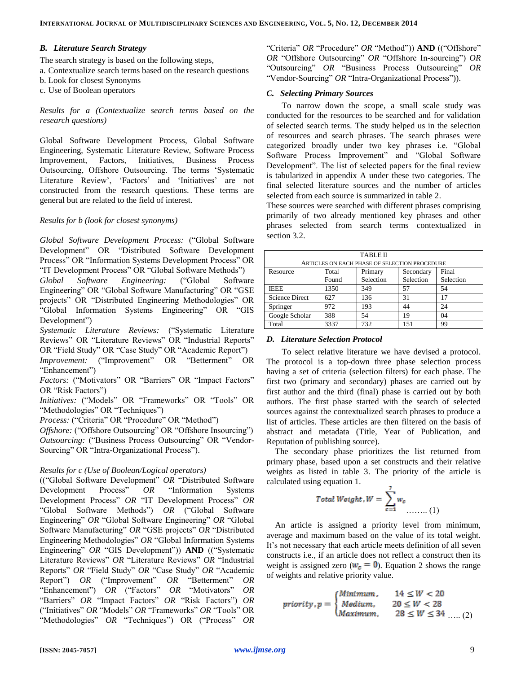#### *B. Literature Search Strategy*

The search strategy is based on the following steps,

- a. Contextualize search terms based on the research questions
- b. Look for closest Synonyms
- c. Use of Boolean operators

*Results for a (Contextualize search terms based on the research questions)*

Global Software Development Process, Global Software Engineering, Systematic Literature Review, Software Process Improvement, Factors, Initiatives, Business Process Outsourcing, Offshore Outsourcing. The terms 'Systematic Literature Review', 'Factors' and 'Initiatives' are not constructed from the research questions. These terms are general but are related to the field of interest.

## *Results for b (look for closest synonyms)*

*Global Software Development Process:* ("Global Software Development" OR "Distributed Software Development Process" OR "Information Systems Development Process" OR "IT Development Process" OR "Global Software Methods")

*Global Software Engineering:* ("Global Software Engineering" OR "Global Software Manufacturing" OR "GSE projects" OR "Distributed Engineering Methodologies" OR "Global Information Systems Engineering" OR "GIS Development")

*Systematic Literature Reviews:* ("Systematic Literature Reviews" OR "Literature Reviews" OR "Industrial Reports" OR "Field Study" OR "Case Study" OR "Academic Report")

*Improvement:* ("Improvement" OR "Betterment" OR "Enhancement")

*Factors:* ("Motivators" OR "Barriers" OR "Impact Factors" OR "Risk Factors")

*Initiatives:* ("Models" OR "Frameworks" OR "Tools" OR "Methodologies" OR "Techniques")

*Process:* ("Criteria" OR "Procedure" OR "Method")

*Offshore:* ("Offshore Outsourcing" OR "Offshore Insourcing") *Outsourcing:* ("Business Process Outsourcing" OR "Vendor-Sourcing" OR "Intra-Organizational Process").

#### *Results for c (Use of Boolean/Logical operators)*

(("Global Software Development" *OR* "Distributed Software Development Process" *OR* "Information Systems Development Process" *OR* "IT Development Process" *OR* "Global Software Methods") *OR* ("Global Software Engineering" *OR* "Global Software Engineering" *OR* "Global Software Manufacturing" *OR* "GSE projects" *OR* "Distributed Engineering Methodologies" *OR* "Global Information Systems Engineering" *OR* "GIS Development")) **AND** (("Systematic Literature Reviews" *OR* "Literature Reviews" *OR* "Industrial Reports" *OR* "Field Study" *OR* "Case Study" *OR* "Academic Report") *OR* ("Improvement" *OR* "Betterment" *OR* "Enhancement") *OR* ("Factors" *OR* "Motivators" *OR* "Barriers" *OR* "Impact Factors" *OR* "Risk Factors") *OR* ("Initiatives" *OR* "Models" *OR* "Frameworks" *OR* "Tools" OR "Methodologies" *OR* "Techniques") OR ("Process" *OR*

"Criteria" *OR* "Procedure" *OR* "Method")) **AND** (("Offshore" *OR* "Offshore Outsourcing" *OR* "Offshore In-sourcing") *OR* "Outsourcing" *OR* "Business Process Outsourcing" *OR* "Vendor-Sourcing" OR "Intra-Organizational Process")).

### *C. Selecting Primary Sources*

To narrow down the scope, a small scale study was conducted for the resources to be searched and for validation of selected search terms. The study helped us in the selection of resources and search phrases. The search phrases were categorized broadly under two key phrases i.e. "Global Software Process Improvement" and "Global Software Development". The list of selected papers for the final review is tabularized in appendix A under these two categories. The final selected literature sources and the number of articles selected from each source is summarized in table 2.

These sources were searched with different phrases comprising primarily of two already mentioned key phrases and other phrases selected from search terms contextualized in section 3.2.

| <b>TABLE II</b>                                    |       |                                               |           |           |  |  |  |  |
|----------------------------------------------------|-------|-----------------------------------------------|-----------|-----------|--|--|--|--|
|                                                    |       | ARTICLES ON EACH PHASE OF SELECTION PROCEDURE |           |           |  |  |  |  |
| Final<br>Secondary<br>Total<br>Primary<br>Resource |       |                                               |           |           |  |  |  |  |
|                                                    | Found | Selection                                     | Selection | Selection |  |  |  |  |
| <b>IEEE</b>                                        | 1350  | 349                                           | 57        | 54        |  |  |  |  |
| <b>Science Direct</b>                              | 627   | 136                                           | 31        | 17        |  |  |  |  |
| Springer                                           | 972   | 193                                           | 44        | 24        |  |  |  |  |
| Google Scholar                                     | 388   | 54                                            | 19        | 04        |  |  |  |  |
| Total                                              | 3337  | 732                                           | 151       | 99        |  |  |  |  |

#### *D. Literature Selection Protocol*

To select relative literature we have devised a protocol. The protocol is a top-down three phase selection process having a set of criteria (selection filters) for each phase. The first two (primary and secondary) phases are carried out by first author and the third (final) phase is carried out by both authors. The first phase started with the search of selected sources against the contextualized search phrases to produce a list of articles. These articles are then filtered on the basis of abstract and metadata (Title, Year of Publication, and Reputation of publishing source).

The secondary phase prioritizes the list returned from primary phase, based upon a set constructs and their relative weights as listed in table 3. The priority of the article is calculated using equation 1.

$$
Total Weight, W = \sum_{c=1}^{7} w_c \dots \dots (1)
$$

An article is assigned a priority level from minimum, average and maximum based on the value of its total weight. It's not necessary that each article meets definition of all seven constructs i.e., if an article does not reflect a construct then its weight is assigned zero ( $w_c = 0$ ). Equation 2 shows the range of weights and relative priority value.

$$
priority, p = \begin{cases} Minimum, & 14 \leq W < 20 \\ Medium, & 20 \leq W < 28 \\ Maximum, & 28 \leq W \leq 34 \quad .... (2) \end{cases}
$$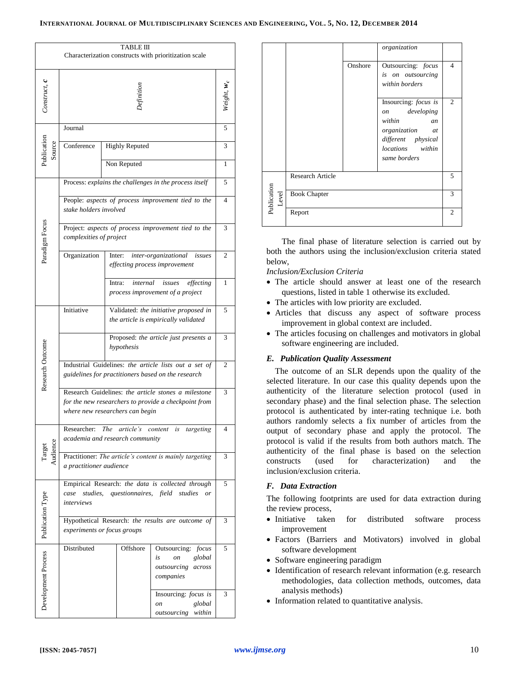| TABLE III<br>Characterization constructs with prioritization scale |                                                                                                                                                |                                                                               |                                                                                              |                          |  |  |
|--------------------------------------------------------------------|------------------------------------------------------------------------------------------------------------------------------------------------|-------------------------------------------------------------------------------|----------------------------------------------------------------------------------------------|--------------------------|--|--|
| Construct, <b>c</b>                                                | <b>Pefinition</b>                                                                                                                              |                                                                               |                                                                                              |                          |  |  |
|                                                                    | Journal                                                                                                                                        |                                                                               |                                                                                              | 5                        |  |  |
| Publication<br>Source                                              | Conference                                                                                                                                     | <b>Highly Reputed</b>                                                         | 3                                                                                            |                          |  |  |
|                                                                    |                                                                                                                                                | Non Reputed                                                                   |                                                                                              |                          |  |  |
|                                                                    |                                                                                                                                                |                                                                               | Process: explains the challenges in the process itself                                       | 5                        |  |  |
|                                                                    | stake holders involved                                                                                                                         |                                                                               | People: aspects of process improvement tied to the                                           | $\overline{\mathcal{A}}$ |  |  |
| Paradigm Focus                                                     | complexities of project                                                                                                                        |                                                                               | Project: aspects of process improvement tied to the                                          | 3                        |  |  |
|                                                                    | Organization                                                                                                                                   | Inter:                                                                        | inter-organizational<br>issues<br>effecting process improvement                              | 2                        |  |  |
|                                                                    |                                                                                                                                                | internal<br>Intra:<br>process improvement of a project                        | 1                                                                                            |                          |  |  |
|                                                                    | Initiative                                                                                                                                     | Validated: the initiative proposed in<br>the article is empirically validated | 5                                                                                            |                          |  |  |
|                                                                    |                                                                                                                                                | Proposed: the article just presents a<br>hypothesis                           | 3                                                                                            |                          |  |  |
| Research Outcome                                                   | Industrial Guidelines: the article lists out a set of<br>guidelines for practitioners based on the research                                    |                                                                               |                                                                                              |                          |  |  |
|                                                                    | Research Guidelines: the article stones a milestone<br>for the new researchers to provide a checkpoint from<br>where new researchers can begin |                                                                               |                                                                                              |                          |  |  |
|                                                                    | Researcher:                                                                                                                                    | The<br>article's<br>academia and research community                           | content<br>is<br>targeting                                                                   | 4                        |  |  |
| Target<br>Audience                                                 | Practitioner: The article's content is mainly targeting<br>a practitioner audience                                                             |                                                                               |                                                                                              |                          |  |  |
|                                                                    | case<br>studies,<br>interviews                                                                                                                 | questionnaires, field                                                         | Empirical Research: the data is collected through<br>studies<br>or                           | 5                        |  |  |
|                                                                    | Hypothetical Research: the results are outcome of<br>experiments or focus groups                                                               |                                                                               |                                                                                              |                          |  |  |
| Development Process   Publication Type                             | Distributed                                                                                                                                    | Offshore                                                                      | Outsourcing:<br>focus<br>is<br>global<br><sub>on</sub><br>outsourcing<br>across<br>companies | 5                        |  |  |
|                                                                    |                                                                                                                                                |                                                                               | Insourcing: <i>focus is</i><br>global<br>on<br>outsourcing<br>within                         | 3                        |  |  |

|                      |                         |         | organization                                                                                                                              |                |  |  |
|----------------------|-------------------------|---------|-------------------------------------------------------------------------------------------------------------------------------------------|----------------|--|--|
|                      |                         | Onshore | Outsourcing: focus<br>is on outsourcing<br>within borders                                                                                 | $\overline{4}$ |  |  |
|                      |                         |         | Insourcing: focus is<br>on developing<br>within<br><i>an</i><br>organization at<br>different physical<br>locations within<br>same borders | $\mathfrak{2}$ |  |  |
| Publication<br>Level | <b>Research Article</b> |         |                                                                                                                                           |                |  |  |
|                      | <b>Book Chapter</b>     |         |                                                                                                                                           |                |  |  |
|                      | Report                  |         |                                                                                                                                           | $\mathfrak{2}$ |  |  |

The final phase of literature selection is carried out by both the authors using the inclusion/exclusion criteria stated below,

## *Inclusion/Exclusion Criteria*

- The article should answer at least one of the research questions, listed in table 1 otherwise its excluded.
- The articles with low priority are excluded.
- Articles that discuss any aspect of software process improvement in global context are included.
- The articles focusing on challenges and motivators in global software engineering are included.

## *E. Publication Quality Assessment*

The outcome of an SLR depends upon the quality of the selected literature. In our case this quality depends upon the authenticity of the literature selection protocol (used in secondary phase) and the final selection phase. The selection protocol is authenticated by inter-rating technique i.e. both authors randomly selects a fix number of articles from the output of secondary phase and apply the protocol. The protocol is valid if the results from both authors match. The authenticity of the final phase is based on the selection constructs (used for characterization) and the inclusion/exclusion criteria.

## *F. Data Extraction*

The following footprints are used for data extraction during the review process,

- Initiative taken for distributed software process improvement
- Factors (Barriers and Motivators) involved in global software development
- Software engineering paradigm
- Identification of research relevant information (e.g. research methodologies, data collection methods, outcomes, data analysis methods)
- Information related to quantitative analysis.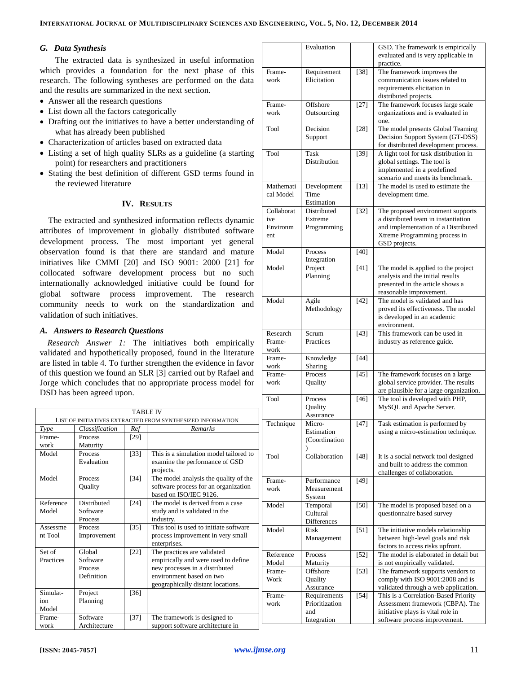## *G. Data Synthesis*

The extracted data is synthesized in useful information which provides a foundation for the next phase of this research. The following syntheses are performed on the data and the results are summarized in the next section.

- Answer all the research questions
- List down all the factors categorically
- Drafting out the initiatives to have a better understanding of what has already been published
- Characterization of articles based on extracted data
- Listing a set of high quality SLRs as a guideline (a starting point) for researchers and practitioners
- Stating the best definition of different GSD terms found in the reviewed literature

## **IV. RESULTS**

The extracted and synthesized information reflects dynamic attributes of improvement in globally distributed software development process. The most important yet general observation found is that there are standard and mature initiatives like CMMI [20] and ISO 9001: 2000 [21] for collocated software development process but no such internationally acknowledged initiative could be found for global software process improvement. The research community needs to work on the standardization and validation of such initiatives.

## *A. Answers to Research Questions*

*Research Answer 1:* The initiatives both empirically validated and hypothetically proposed, found in the literature are listed in table 4. To further strengthen the evidence in favor of this question we found an SLR [3] carried out by Rafael and Jorge which concludes that no appropriate process model for DSD has been agreed upon.

|           |                    |        | <b>TABLE IV</b>                                            |
|-----------|--------------------|--------|------------------------------------------------------------|
|           |                    |        | LIST OF INITIATIVES EXTRACTED FROM SYNTHESIZED INFORMATION |
| Type      | Classification     | Ref    | <b>Remarks</b>                                             |
| Frame-    | Process            | $[29]$ |                                                            |
| work      | Maturity           |        |                                                            |
| Model     | Process            | $[33]$ | This is a simulation model tailored to                     |
|           | Evaluation         |        | examine the performance of GSD                             |
|           |                    |        | projects.                                                  |
| Model     | Process            | $[34]$ | The model analysis the quality of the                      |
|           | Quality            |        | software process for an organization                       |
|           |                    |        | based on ISO/IEC 9126.                                     |
| Reference | <b>Distributed</b> | $[24]$ | The model is derived from a case                           |
| Model     | Software           |        | study and is validated in the                              |
|           | Process            |        | industry.                                                  |
| Assessme  | Process            | $[35]$ | This tool is used to initiate software                     |
| nt Tool   | Improvement        |        | process improvement in very small                          |
|           |                    |        | enterprises.                                               |
| Set of    | Global             | $[22]$ | The practices are validated                                |
| Practices | Software           |        | empirically and were used to define                        |
|           | Process            |        | new processes in a distributed                             |
|           | Definition         |        | environment based on two                                   |
|           |                    |        | geographically distant locations.                          |
| Simulat-  | Project            | $[36]$ |                                                            |
| ion       | Planning           |        |                                                            |
| Model     |                    |        |                                                            |
| Frame-    | Software           | $[37]$ | The framework is designed to                               |
| work      | Architecture       |        | support software architecture in                           |

|                                      | Evaluation                                   |                   | GSD. The framework is empirically<br>evaluated and is very applicable in<br>practice.                                                                             |
|--------------------------------------|----------------------------------------------|-------------------|-------------------------------------------------------------------------------------------------------------------------------------------------------------------|
| Frame-<br>work                       | Requirement<br>Elicitation                   | $[38]$            | The framework improves the<br>communication issues related to<br>requirements elicitation in<br>distributed projects.                                             |
| Frame-<br>work                       | Offshore<br>Outsourcing                      | $[27]$            | The framework focuses large scale<br>organizations and is evaluated in<br>one.                                                                                    |
| Tool                                 | Decision<br>Support                          | $[28]$            | The model presents Global Teaming<br>Decision Support System (GT-DSS)<br>for distributed development process.                                                     |
| Tool                                 | Task<br>Distribution                         | $[39]$            | A light tool for task distribution in<br>global settings. The tool is<br>implemented in a predefined<br>scenario and meets its benchmark.                         |
| Mathemati<br>cal Model               | Development<br>Time<br>Estimation            | $[13]$            | The model is used to estimate the<br>development time.                                                                                                            |
| Collaborat<br>ive<br>Environm<br>ent | <b>Distributed</b><br>Extreme<br>Programming | $[32]$            | The proposed environment supports<br>a distributed team in instantiation<br>and implementation of a Distributed<br>Xtreme Programming process in<br>GSD projects. |
| Model                                | Process<br>Integration                       | $[40]$            |                                                                                                                                                                   |
| Model                                | Project<br>Planning                          | [41]              | The model is applied to the project<br>analysis and the initial results<br>presented in the article shows a<br>reasonable improvement.                            |
| Model                                | Agile<br>Methodology                         | $[42]$            | The model is validated and has<br>proved its effectiveness. The model<br>is developed in an academic<br>environment.                                              |
| Research<br>Frame-<br>work           | Scrum<br>Practices                           | $[43]$            | This framework can be used in<br>industry as reference guide.                                                                                                     |
| Frame-<br>work                       | Knowledge<br>Sharing                         | $[44]$            |                                                                                                                                                                   |
| Frame-<br>work                       | Process<br>Quality                           | $[45]$            | The framework focuses on a large<br>global service provider. The results<br>are plausible for a large organization.                                               |
| Tool                                 | Process<br>Quality<br>Assurance              | $[46]$            | The tool is developed with PHP,<br>MySQL and Apache Server.                                                                                                       |
| Technique                            | Micro-<br>Estimation<br>(Coordination        | $\overline{[47]}$ | Task estimation is performed by<br>using a micro-estimation technique.                                                                                            |
| Tool                                 | Collaboration                                | $[48]$            | It is a social network tool designed<br>and built to address the common<br>challenges of collaboration.                                                           |
| Frame-<br>work                       | Performance<br>Measurement<br>System         | $[49]$            |                                                                                                                                                                   |
| Model                                | Temporal<br>Cultural<br>Differences          | [50]              | The model is proposed based on a<br>questionnaire based survey                                                                                                    |
| Model                                | Risk<br>Management                           | $[51]$            | The initiative models relationship<br>between high-level goals and risk<br>factors to access risks upfront.                                                       |
| Reference<br>Model                   | Process<br>Maturity                          | $[52]$            | The model is elaborated in detail but<br>is not empirically validated.                                                                                            |
| Frame-<br>Work                       | Offshore<br>Quality<br>Assurance             | $[53]$            | The framework supports vendors to<br>comply with ISO 9001:2008 and is<br>validated through a web application.                                                     |
| Frame-<br>work                       | Requirements<br>Prioritization<br>and        | $[54]$            | This is a Correlation-Based Priority<br>Assessment framework (CBPA). The<br>initiative plays is vital role in                                                     |
|                                      | Integration                                  |                   | software process improvement.                                                                                                                                     |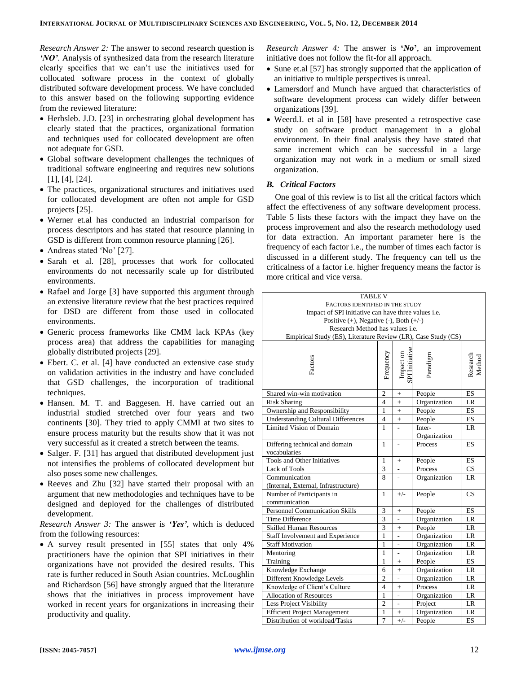*Research Answer 2:* The answer to second research question is *'NO'*. Analysis of synthesized data from the research literature clearly specifies that we can't use the initiatives used for collocated software process in the context of globally distributed software development process. We have concluded to this answer based on the following supporting evidence from the reviewed literature:

- Herbsleb. J.D. [23] in orchestrating global development has clearly stated that the practices, organizational formation and techniques used for collocated development are often not adequate for GSD.
- Global software development challenges the techniques of traditional software engineering and requires new solutions [1], [4], [24].
- The practices, organizational structures and initiatives used for collocated development are often not ample for GSD projects [25].
- Werner et.al has conducted an industrial comparison for process descriptors and has stated that resource planning in GSD is different from common resource planning [26].
- Andreas stated 'No' [27].
- Sarah et al. [28], processes that work for collocated environments do not necessarily scale up for distributed environments.
- Rafael and Jorge [3] have supported this argument through an extensive literature review that the best practices required for DSD are different from those used in collocated environments.
- Generic process frameworks like CMM lack KPAs (key process area) that address the capabilities for managing globally distributed projects [29].
- Ebert. C. et al. [4] have conducted an extensive case study on validation activities in the industry and have concluded that GSD challenges, the incorporation of traditional techniques.
- Hansen. M. T. and Baggesen. H. have carried out an industrial studied stretched over four years and two continents [30]. They tried to apply CMMI at two sites to ensure process maturity but the results show that it was not very successful as it created a stretch between the teams.
- Salger. F. [31] has argued that distributed development just not intensifies the problems of collocated development but also poses some new challenges.
- Reeves and Zhu [32] have started their proposal with an argument that new methodologies and techniques have to be designed and deployed for the challenges of distributed development.

*Research Answer 3:* The answer is *'Yes'*, which is deduced from the following resources:

 A survey result presented in [55] states that only 4% practitioners have the opinion that SPI initiatives in their organizations have not provided the desired results. This rate is further reduced in South Asian countries. McLoughlin and Richardson [56] have strongly argued that the literature shows that the initiatives in process improvement have worked in recent years for organizations in increasing their productivity and quality.

*Research Answer 4:* The answer is **'***No***'**, an improvement initiative does not follow the fit-for all approach.

- Sune et.al [57] has strongly supported that the application of an initiative to multiple perspectives is unreal.
- Lamersdorf and Munch have argued that characteristics of software development process can widely differ between organizations [39].
- Weerd.I. et al in [58] have presented a retrospective case study on software product management in a global environment. In their final analysis they have stated that same increment which can be successful in a large organization may not work in a medium or small sized organization.

## *B. Critical Factors*

One goal of this review is to list all the critical factors which affect the effectiveness of any software development process. Table 5 lists these factors with the impact they have on the process improvement and also the research methodology used for data extraction. An important parameter here is the frequency of each factor i.e., the number of times each factor is discussed in a different study. The frequency can tell us the criticalness of a factor i.e. higher frequency means the factor is more critical and vice versa.

| <b>TABLE V</b>                                                                           |                |                             |              |                        |  |  |  |
|------------------------------------------------------------------------------------------|----------------|-----------------------------|--------------|------------------------|--|--|--|
| FACTORS IDENTIFIED IN THE STUDY                                                          |                |                             |              |                        |  |  |  |
| Impact of SPI initiative can have three values <i>i.e.</i>                               |                |                             |              |                        |  |  |  |
| Positive $(+)$ , Negative $(-)$ , Both $(+/-)$<br>Research Method has values <i>i.e.</i> |                |                             |              |                        |  |  |  |
|                                                                                          |                |                             |              |                        |  |  |  |
| Empirical Study (ES), Literature Review (LR), Case Study (CS)                            |                |                             |              |                        |  |  |  |
|                                                                                          |                |                             |              |                        |  |  |  |
|                                                                                          | Frequency      | Impact on<br>SPI Initiative | Paradigm     | Research<br>Method     |  |  |  |
| Factors                                                                                  |                |                             |              |                        |  |  |  |
|                                                                                          |                |                             |              |                        |  |  |  |
|                                                                                          |                |                             |              |                        |  |  |  |
| Shared win-win motivation                                                                | $\overline{c}$ | $+$                         | People       | <b>ES</b>              |  |  |  |
| <b>Risk Sharing</b>                                                                      | $\overline{4}$ | $+$                         | Organization | LR                     |  |  |  |
| Ownership and Responsibility                                                             | 1              | $+$                         | People       | <b>ES</b>              |  |  |  |
| <b>Understanding Cultural Differences</b>                                                | $\overline{4}$ | $+$                         | People       | ES                     |  |  |  |
| Limited Vision of Domain                                                                 | Inter-         | <b>LR</b>                   |              |                        |  |  |  |
| Organization                                                                             |                |                             |              |                        |  |  |  |
| Differing technical and domain<br>1<br>Process<br>$\overline{a}$                         |                |                             |              |                        |  |  |  |
| vocabularies                                                                             | <b>ES</b>      |                             |              |                        |  |  |  |
| Tools and Other Initiatives                                                              | 1              | $^{+}$                      | People       | <b>ES</b>              |  |  |  |
| Lack of Tools                                                                            | 3              |                             | Process      | CS                     |  |  |  |
| Communication                                                                            |                |                             | Organization | <b>LR</b>              |  |  |  |
| (Internal, External, Infrastructure)                                                     |                |                             |              |                        |  |  |  |
| Number of Participants in                                                                | $\mathbf{1}$   | $+/-$                       | People       | $\overline{\text{CS}}$ |  |  |  |
| communication                                                                            |                |                             |              |                        |  |  |  |
| Personnel Communication Skills                                                           | 3              | $^{+}$                      | People       | ES                     |  |  |  |
| <b>Time Difference</b>                                                                   | $\overline{3}$ |                             | Organization | <b>LR</b>              |  |  |  |
| <b>Skilled Human Resources</b>                                                           | 3              | $+$                         | People       | LR                     |  |  |  |
| Staff Involvement and Experience                                                         | $\mathbf{1}$   | $\overline{a}$              | Organization | LR                     |  |  |  |
| <b>Staff Motivation</b>                                                                  | $\mathbf{1}$   |                             | Organization | <b>LR</b>              |  |  |  |
| Mentoring                                                                                | $\mathbf{1}$   |                             | Organization | <b>LR</b>              |  |  |  |
| Training                                                                                 | $\mathbf{1}$   | $+$                         | People       | <b>ES</b>              |  |  |  |
| Knowledge Exchange                                                                       | 6              | $+$                         | Organization | <b>LR</b>              |  |  |  |
| Different Knowledge Levels                                                               | $\overline{c}$ |                             | Organization | LR                     |  |  |  |
| $\overline{4}$<br>Knowledge of Client's Culture<br>Process<br>LR<br>$+$                  |                |                             |              |                        |  |  |  |
| <b>Allocation of Resources</b><br>$\mathbf{1}$<br>Organization<br>LR                     |                |                             |              |                        |  |  |  |
| Less Project Visibility                                                                  | $\overline{c}$ |                             | Project      | <b>LR</b>              |  |  |  |
| <b>Efficient Project Management</b>                                                      | $\mathbf{1}$   | $\ddot{}$                   | Organization | LR                     |  |  |  |
| Distribution of workload/Tasks                                                           | 7              | $+/-$                       | People       | ES                     |  |  |  |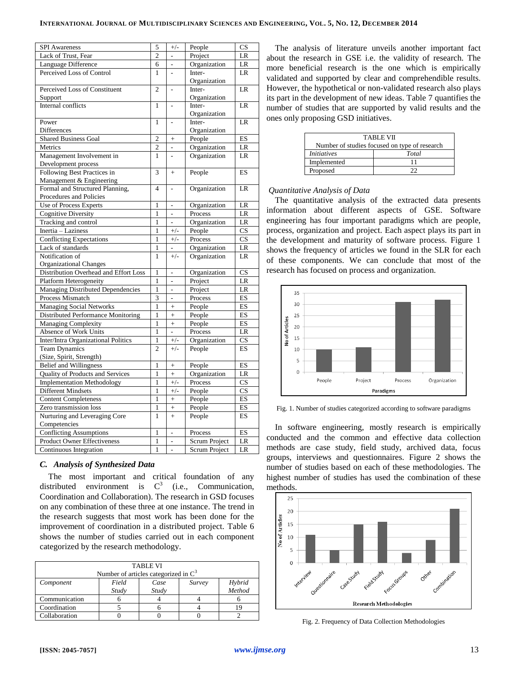| <b>SPI</b> Awareness                  | 5              | $+/-$          | People               | $\overline{\text{CS}}$ |
|---------------------------------------|----------------|----------------|----------------------|------------------------|
| Lack of Trust, Fear                   | $\overline{2}$ |                | Project              | LR                     |
| Language Difference                   | 6              |                | Organization         | LR                     |
| Perceived Loss of Control             | 1              |                | Inter-               | LR                     |
|                                       |                |                | Organization         |                        |
| Perceived Loss of Constituent         | $\overline{c}$ |                | Inter-               | LR                     |
| Support                               |                |                | Organization         |                        |
| Internal conflicts                    | $\mathbf{1}$   |                | Inter-               | LR                     |
|                                       |                |                | Organization         |                        |
| Power                                 | $\mathbf{1}$   |                | Inter-               | LR                     |
| <b>Differences</b>                    |                |                | Organization         |                        |
| <b>Shared Business Goal</b>           | $\overline{2}$ | $+$            | People               | <b>ES</b>              |
| Metrics                               | $\overline{c}$ | $\overline{a}$ | Organization         | LR                     |
| Management Involvement in             | 1              |                | Organization         | LR                     |
| Development process                   |                |                |                      |                        |
| Following Best Practices in           | 3              | $\ddot{}$      | People               | ES                     |
| Management & Engineering              |                |                |                      |                        |
| Formal and Structured Planning,       | $\overline{4}$ |                | Organization         | LR                     |
| Procedures and Policies               |                |                |                      |                        |
| Use of Process Experts                | 1              | -              | Organization         | LR                     |
| <b>Cognitive Diversity</b>            | $\mathbf{1}$   | $\overline{a}$ | Process              | LR                     |
| Tracking and control                  | 1              | L,             | Organization         | LR                     |
| Inertia - Laziness                    | $\mathbf{1}$   | $+/-$          | People               | $\overline{\text{CS}}$ |
| <b>Conflicting Expectations</b>       | $\mathbf{1}$   | $+/-$          | Process              | CS                     |
| Lack of standards                     | $\mathbf{1}$   | $\overline{a}$ | Organization         | LR                     |
| Notification of                       | $\mathbf{1}$   | $+/-$          | Organization         | LR                     |
| <b>Organizational Changes</b>         |                |                |                      |                        |
| Distribution Overhead and Effort Loss | $\mathbf{1}$   | $\overline{a}$ | Organization         | $\overline{\text{CS}}$ |
| Platform Heterogeneity                | $\mathbf{1}$   | $\overline{a}$ | Project              | LR                     |
| Managing Distributed Dependencies     | $\mathbf{1}$   | L,             | Project              | LR                     |
| Process Mismatch                      | $\overline{3}$ | $\overline{a}$ | Process              | ES                     |
| Managing Social Networks              | $\mathbf{1}$   | $\ddot{}$      | People               | ES                     |
| Distributed Performance Monitoring    | $\mathbf{1}$   | $\ddot{}$      | People               | ES                     |
| Managing Complexity                   | $\mathbf{1}$   | $\ddot{}$      | People               | ES                     |
| Absence of Work Units                 | $\mathbf{1}$   |                | Process              | LR                     |
| Inter/Intra Organizational Politics   | $\mathbf{1}$   | $+/-$          | Organization         | CS                     |
| <b>Team Dynamics</b>                  | $\overline{c}$ | $+/-$          | People               | ES                     |
| (Size, Spirit, Strength)              |                |                |                      |                        |
| <b>Belief and Willingness</b>         | $\mathbf{1}$   | $^{+}$         | People               | ES                     |
| Quality of Products and Services      | $\mathbf{1}$   | $\overline{+}$ | Organization         | LR                     |
| <b>Implementation Methodology</b>     | $\mathbf{1}$   | $+/-$          | Process              | $\overline{\text{CS}}$ |
| Different Mindsets                    | $\mathbf{1}$   | $+/-$          | People               | $\overline{\text{CS}}$ |
| <b>Content Completeness</b>           | $\mathbf{1}$   | $^{+}$         | People               | ES                     |
| Zero transmission loss                | $\mathbf{1}$   | $\ddot{}$      | People               | ES                     |
| Nurturing and Leveraging Core         | 1              | $+$            | People               | ES                     |
| Competencies                          |                |                |                      |                        |
| <b>Conflicting Assumptions</b>        | $\mathbf{1}$   |                | Process              | ES                     |
| Product Owner Effectiveness           | $\mathbf{1}$   | ÷,             | Scrum Project        | LR                     |
| Continuous Integration                | 1              | L,             | <b>Scrum Project</b> | LR                     |

## *C. Analysis of Synthesized Data*

The most important and critical foundation of any distributed environment is  $C^3$ (i.e., Communication, Coordination and Collaboration). The research in GSD focuses on any combination of these three at one instance. The trend in the research suggests that most work has been done for the improvement of coordination in a distributed project. Table 6 shows the number of studies carried out in each component categorized by the research methodology.

| <b>TABLE VI</b><br>Number of articles categorized in $C^3$ |       |       |  |        |  |  |  |  |
|------------------------------------------------------------|-------|-------|--|--------|--|--|--|--|
| Field<br>Hybrid<br>Case<br>Survey<br>Component             |       |       |  |        |  |  |  |  |
|                                                            | Study | Study |  | Method |  |  |  |  |
| Communication                                              |       |       |  |        |  |  |  |  |
| Coordination                                               |       |       |  | 1 Q    |  |  |  |  |
| Collaboration                                              |       |       |  |        |  |  |  |  |

The analysis of literature unveils another important fact about the research in GSE i.e. the validity of research. The more beneficial research is the one which is empirically validated and supported by clear and comprehendible results. However, the hypothetical or non-validated research also plays its part in the development of new ideas. Table 7 quantifies the number of studies that are supported by valid results and the ones only proposing GSD initiatives.

| <b>TABLE VII</b>                              |  |  |  |  |  |  |
|-----------------------------------------------|--|--|--|--|--|--|
| Number of studies focused on type of research |  |  |  |  |  |  |
| <i>Initiatives</i><br>Total                   |  |  |  |  |  |  |
| Implemented                                   |  |  |  |  |  |  |
| Proposed                                      |  |  |  |  |  |  |

## *Quantitative Analysis of Data*

The quantitative analysis of the extracted data presents information about different aspects of GSE. Software engineering has four important paradigms which are people, process, organization and project. Each aspect plays its part in the development and maturity of software process. Figure 1 shows the frequency of articles we found in the SLR for each of these components. We can conclude that most of the research has focused on process and organization.



Fig. 1. Number of studies categorized according to software paradigms

In software engineering, mostly research is empirically conducted and the common and effective data collection methods are case study, field study, archived data, focus groups, interviews and questionnaires. Figure 2 shows the number of studies based on each of these methodologies. The highest number of studies has used the combination of these methods.



Fig. 2. Frequency of Data Collection Methodologies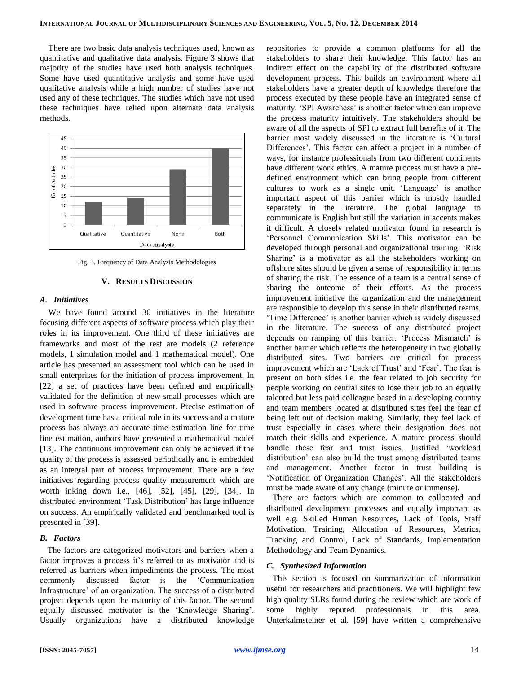There are two basic data analysis techniques used, known as quantitative and qualitative data analysis. Figure 3 shows that majority of the studies have used both analysis techniques. Some have used quantitative analysis and some have used qualitative analysis while a high number of studies have not used any of these techniques. The studies which have not used these techniques have relied upon alternate data analysis methods.



Fig. 3. Frequency of Data Analysis Methodologies

#### **V. RESULTS DISCUSSION**

#### *A. Initiatives*

We have found around 30 initiatives in the literature focusing different aspects of software process which play their roles in its improvement. One third of these initiatives are frameworks and most of the rest are models (2 reference models, 1 simulation model and 1 mathematical model). One article has presented an assessment tool which can be used in small enterprises for the initiation of process improvement. In [22] a set of practices have been defined and empirically validated for the definition of new small processes which are used in software process improvement. Precise estimation of development time has a critical role in its success and a mature process has always an accurate time estimation line for time line estimation, authors have presented a mathematical model [13]. The continuous improvement can only be achieved if the quality of the process is assessed periodically and is embedded as an integral part of process improvement. There are a few initiatives regarding process quality measurement which are worth inking down i.e., [46], [52], [45], [29], [34]. In distributed environment 'Task Distribution' has large influence on success. An empirically validated and benchmarked tool is presented in [39].

## *B. Factors*

The factors are categorized motivators and barriers when a factor improves a process it's referred to as motivator and is referred as barriers when impediments the process. The most commonly discussed factor is the 'Communication Infrastructure' of an organization. The success of a distributed project depends upon the maturity of this factor. The second equally discussed motivator is the 'Knowledge Sharing'. Usually organizations have a distributed knowledge

repositories to provide a common platforms for all the stakeholders to share their knowledge. This factor has an indirect effect on the capability of the distributed software development process. This builds an environment where all stakeholders have a greater depth of knowledge therefore the process executed by these people have an integrated sense of maturity. 'SPI Awareness' is another factor which can improve the process maturity intuitively. The stakeholders should be aware of all the aspects of SPI to extract full benefits of it. The barrier most widely discussed in the literature is 'Cultural Differences'. This factor can affect a project in a number of ways, for instance professionals from two different continents have different work ethics. A mature process must have a predefined environment which can bring people from different cultures to work as a single unit. 'Language' is another important aspect of this barrier which is mostly handled separately in the literature. The global language to communicate is English but still the variation in accents makes it difficult. A closely related motivator found in research is 'Personnel Communication Skills'. This motivator can be developed through personal and organizational training. 'Risk Sharing' is a motivator as all the stakeholders working on offshore sites should be given a sense of responsibility in terms of sharing the risk. The essence of a team is a central sense of sharing the outcome of their efforts. As the process improvement initiative the organization and the management are responsible to develop this sense in their distributed teams. 'Time Difference' is another barrier which is widely discussed in the literature. The success of any distributed project depends on ramping of this barrier. 'Process Mismatch' is another barrier which reflects the heterogeneity in two globally distributed sites. Two barriers are critical for process improvement which are 'Lack of Trust' and 'Fear'. The fear is present on both sides i.e. the fear related to job security for people working on central sites to lose their job to an equally talented but less paid colleague based in a developing country and team members located at distributed sites feel the fear of being left out of decision making. Similarly, they feel lack of trust especially in cases where their designation does not match their skills and experience. A mature process should handle these fear and trust issues. Justified 'workload distribution' can also build the trust among distributed teams and management. Another factor in trust building is 'Notification of Organization Changes'. All the stakeholders must be made aware of any change (minute or immense).

There are factors which are common to collocated and distributed development processes and equally important as well e.g. Skilled Human Resources, Lack of Tools, Staff Motivation, Training, Allocation of Resources, Metrics, Tracking and Control, Lack of Standards, Implementation Methodology and Team Dynamics.

#### *C. Synthesized Information*

This section is focused on summarization of information useful for researchers and practitioners. We will highlight few high quality SLRs found during the review which are work of some highly reputed professionals in this area. Unterkalmsteiner et al. [59] have written a comprehensive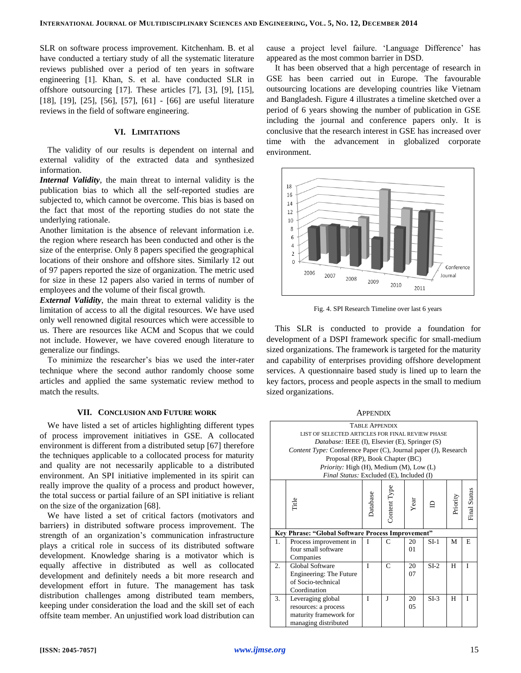SLR on software process improvement. Kitchenham. B. et al have conducted a tertiary study of all the systematic literature reviews published over a period of ten years in software engineering [1]. Khan, S. et al. have conducted SLR in offshore outsourcing [17]. These articles [7], [3], [9], [15], [18], [19], [25], [56], [57], [61] - [66] are useful literature reviews in the field of software engineering.

#### **VI. LIMITATIONS**

The validity of our results is dependent on internal and external validity of the extracted data and synthesized information.

*Internal Validity*, the main threat to internal validity is the publication bias to which all the self-reported studies are subjected to, which cannot be overcome. This bias is based on the fact that most of the reporting studies do not state the underlying rationale.

Another limitation is the absence of relevant information i.e. the region where research has been conducted and other is the size of the enterprise. Only 8 papers specified the geographical locations of their onshore and offshore sites. Similarly 12 out of 97 papers reported the size of organization. The metric used for size in these 12 papers also varied in terms of number of employees and the volume of their fiscal growth.

*External Validity*, the main threat to external validity is the limitation of access to all the digital resources. We have used only well renowned digital resources which were accessible to us. There are resources like ACM and Scopus that we could not include. However, we have covered enough literature to generalize our findings.

To minimize the researcher's bias we used the inter-rater technique where the second author randomly choose some articles and applied the same systematic review method to match the results.

#### **VII. CONCLUSION AND FUTURE WORK**

We have listed a set of articles highlighting different types of process improvement initiatives in GSE. A collocated environment is different from a distributed setup [67] therefore the techniques applicable to a collocated process for maturity and quality are not necessarily applicable to a distributed environment. An SPI initiative implemented in its spirit can really improve the quality of a process and product however, the total success or partial failure of an SPI initiative is reliant on the size of the organization [68].

We have listed a set of critical factors (motivators and barriers) in distributed software process improvement. The strength of an organization's communication infrastructure plays a critical role in success of its distributed software development. Knowledge sharing is a motivator which is equally affective in distributed as well as collocated development and definitely needs a bit more research and development effort in future. The management has task distribution challenges among distributed team members, keeping under consideration the load and the skill set of each offsite team member. An unjustified work load distribution can cause a project level failure. 'Language Difference' has appeared as the most common barrier in DSD.

It has been observed that a high percentage of research in GSE has been carried out in Europe. The favourable outsourcing locations are developing countries like Vietnam and Bangladesh. Figure 4 illustrates a timeline sketched over a period of 6 years showing the number of publication in GSE including the journal and conference papers only. It is conclusive that the research interest in GSE has increased over time with the advancement in globalized corporate environment.



Fig. 4. SPI Research Timeline over last 6 years

This SLR is conducted to provide a foundation for development of a DSPI framework specific for small-medium sized organizations. The framework is targeted for the maturity and capability of enterprises providing offshore development services. A questionnaire based study is lined up to learn the key factors, process and people aspects in the small to medium sized organizations.

| <b>TABLE APPENDIX</b><br>LIST OF SELECTED ARTICLES FOR FINAL REVIEW PHASE<br><i>Database:</i> IEEE (I), Elsevier (E), Springer (S)<br>Content Type: Conference Paper (C), Journal paper (J), Research<br>Proposal (RP), Book Chapter (BC)<br>Priority: High (H), Medium (M), Low (L)<br>Final Status: Excluded (E), Included (I) |                                                                                             |   |              |          |        |   |   |  |
|----------------------------------------------------------------------------------------------------------------------------------------------------------------------------------------------------------------------------------------------------------------------------------------------------------------------------------|---------------------------------------------------------------------------------------------|---|--------------|----------|--------|---|---|--|
|                                                                                                                                                                                                                                                                                                                                  | Content Type<br>Final Status<br>Database<br>Priority<br>Title<br>Year                       |   |              |          |        |   |   |  |
|                                                                                                                                                                                                                                                                                                                                  | Key Phrase: "Global Software Process Improvement"                                           |   |              |          |        |   |   |  |
| T<br>$\subset$<br>20<br>$SI-1$<br>1.<br>Process improvement in<br>four small software<br>01<br>Companies                                                                                                                                                                                                                         |                                                                                             |   |              |          |        |   | E |  |
| $\overline{2}$ .                                                                                                                                                                                                                                                                                                                 | <b>Global Software</b><br>Engineering: The Future<br>of Socio-technical<br>Coordination     | T | $\mathsf{C}$ | 20<br>07 | $SI-2$ | H | T |  |
| 3.                                                                                                                                                                                                                                                                                                                               | Leveraging global<br>resources: a process<br>maturity framework for<br>managing distributed | T | J            | 20<br>05 | $SI-3$ | H | T |  |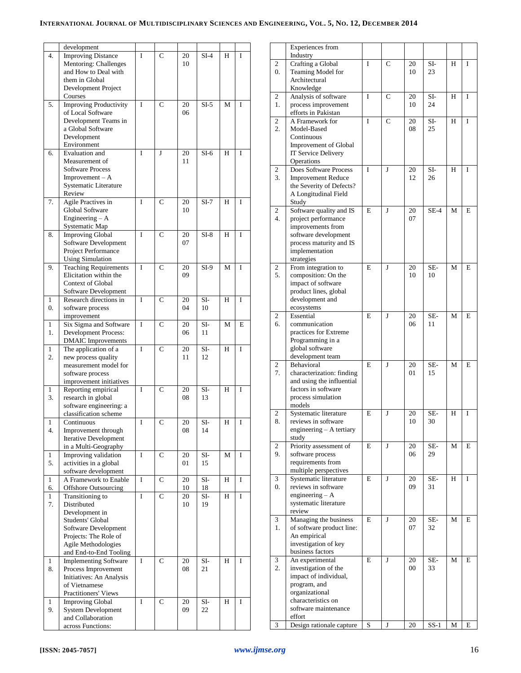|              | development                   |   |                |    |        |   |   |
|--------------|-------------------------------|---|----------------|----|--------|---|---|
| 4.           | <b>Improving Distance</b>     | I | $\mathbf C$    | 20 | $SI-4$ | H | I |
|              | Mentoring: Challenges         |   |                | 10 |        |   |   |
|              | and How to Deal with          |   |                |    |        |   |   |
|              | them in Global                |   |                |    |        |   |   |
|              |                               |   |                |    |        |   |   |
|              | Development Project           |   |                |    |        |   |   |
|              | Courses                       |   |                |    |        |   |   |
| 5.           | <b>Improving Productivity</b> | Ī | C              | 20 | $SI-5$ | M | I |
|              | of Local Software             |   |                | 06 |        |   |   |
|              | Development Teams in          |   |                |    |        |   |   |
|              | a Global Software             |   |                |    |        |   |   |
|              | Development                   |   |                |    |        |   |   |
|              |                               |   |                |    |        |   |   |
|              | Environment                   |   |                |    |        |   |   |
| 6.           | Evaluation and                | I | J              | 20 | $SI-6$ | H | I |
|              | Measurement of                |   |                | 11 |        |   |   |
|              | <b>Software Process</b>       |   |                |    |        |   |   |
|              | $Improvement - A$             |   |                |    |        |   |   |
|              | Systematic Literature         |   |                |    |        |   |   |
|              |                               |   |                |    |        |   |   |
|              | Review                        |   |                |    |        |   |   |
| 7.           | Agile Practives in            | I | C              | 20 | $SI-7$ | H | I |
|              | Global Software               |   |                | 10 |        |   |   |
|              | Engineering $- A$             |   |                |    |        |   |   |
|              | Systematic Map                |   |                |    |        |   |   |
| 8.           | <b>Improving Global</b>       | I | C              | 20 | $SI-8$ | H | I |
|              |                               |   |                |    |        |   |   |
|              | Software Development          |   |                | 07 |        |   |   |
|              | Project Performance           |   |                |    |        |   |   |
|              | <b>Using Simulation</b>       |   |                |    |        |   |   |
| 9.           | <b>Teaching Requirements</b>  | I | $\mathbf C$    | 20 | $SI-9$ | M | I |
|              | Elicitation within the        |   |                | 09 |        |   |   |
|              | <b>Context of Global</b>      |   |                |    |        |   |   |
|              |                               |   |                |    |        |   |   |
|              | Software Development          |   |                |    |        |   |   |
| 1            | Research directions in        | Ī | $\mathbf C$    | 20 | SI-    | H | I |
| 0.           | software process              |   |                | 04 | 10     |   |   |
|              | improvement                   |   |                |    |        |   |   |
| 1            | Six Sigma and Software        | I | C              | 20 | SI-    | М | E |
| 1.           |                               |   |                | 06 | 11     |   |   |
|              | Development Process:          |   |                |    |        |   |   |
|              | <b>DMAIC</b> Improvements     |   |                |    |        |   |   |
| 1            | The application of a          | I | $\mathbf C$    | 20 | $SI-$  | H | I |
| 2.           | new process quality           |   |                | 11 | 12     |   |   |
|              | measurement model for         |   |                |    |        |   |   |
|              | software process              |   |                |    |        |   |   |
|              | improvement initiatives       |   |                |    |        |   |   |
|              |                               | I |                |    |        |   | I |
| 1            | Reporting empirical           |   | $\mathbf C$    | 20 | $SI-$  | H |   |
| 3.           | research in global            |   |                | 08 | 13     |   |   |
|              | software engineering: a       |   |                |    |        |   |   |
|              | classification scheme         |   |                |    |        |   |   |
| 1            | Continuous                    | I | С              | 20 | SI-    | Н | I |
| 4.           | Improvement through           |   |                | 08 | 14     |   |   |
|              |                               |   |                |    |        |   |   |
|              | <b>Iterative Development</b>  |   |                |    |        |   |   |
|              | in a Multi-Geography          |   |                |    |        |   |   |
| 1            | Improving validation          | I | C              | 20 | SI-    | М | I |
| 5.           | activities in a global        |   |                | 01 | 15     |   |   |
|              | software development          |   |                |    |        |   |   |
| $\mathbf{1}$ | A Framework to Enable         | I | C              | 20 | SI-    | Н | I |
|              |                               |   |                |    |        |   |   |
| 6.           | <b>Offshore Outsourcing</b>   |   |                | 10 | 18     |   |   |
| 1            | Transitioning to              | I | $\overline{C}$ | 20 | SI-    | Н | I |
| 7.           | Distributed                   |   |                | 10 | 19     |   |   |
|              | Development in                |   |                |    |        |   |   |
|              | Students' Global              |   |                |    |        |   |   |
|              | Software Development          |   |                |    |        |   |   |
|              | Projects: The Role of         |   |                |    |        |   |   |
|              |                               |   |                |    |        |   |   |
|              | Agile Methodologies           |   |                |    |        |   |   |
|              | and End-to-End Tooling        |   |                |    |        |   |   |
| 1            | <b>Implementing Software</b>  | I | C              | 20 | $SI-$  | Н | I |
| 8.           | Process Improvement           |   |                | 08 | 21     |   |   |
|              | Initiatives: An Analysis      |   |                |    |        |   |   |
|              |                               |   |                |    |        |   |   |
|              | of Vietnamese                 |   |                |    |        |   |   |
|              | Practitioners' Views          |   |                |    |        |   |   |
| 1            | Improving Global              | I | C              | 20 | SI-    | Н | I |
| 9.           | <b>System Development</b>     |   |                | 09 | 22     |   |   |
|              | and Collaboration             |   |                |    |        |   |   |
|              | across Functions:             |   |                |    |        |   |   |
|              |                               |   |                |    |        |   |   |

|                  | Experiences from<br>Industry                           |             |   |              |           |   |   |
|------------------|--------------------------------------------------------|-------------|---|--------------|-----------|---|---|
| 2                | Crafting a Global                                      | I           | C | 20           | SI-       | Н | I |
| $\overline{0}$ . | Teaming Model for                                      |             |   | 10           | 23        |   |   |
|                  | Architectural<br>Knowledge                             |             |   |              |           |   |   |
| 2                | Analysis of software                                   | I           | C | 20           | SI-       | Н | I |
| 1.               | process improvement                                    |             |   | 10           | 24        |   |   |
|                  | efforts in Pakistan                                    |             |   |              |           |   |   |
| 2<br>2.          | A Framework for<br>Model-Based                         | I           | C | 20<br>08     | SI-<br>25 | H | I |
|                  | Continuous                                             |             |   |              |           |   |   |
|                  | Improvement of Global                                  |             |   |              |           |   |   |
|                  | IT Service Delivery                                    |             |   |              |           |   |   |
| 2                | Operations<br>Does Software Process                    | I           | J | 20           | SI-       | Н | I |
| 3.               | <b>Improvement Reduce</b>                              |             |   | 12           | 26        |   |   |
|                  | the Severity of Defects?                               |             |   |              |           |   |   |
|                  | A Longitudinal Field<br>Study                          |             |   |              |           |   |   |
| 2                | Software quality and IS                                | E           | J | 20           | $SE-4$    | M | E |
| 4.               | project performance                                    |             |   | 07           |           |   |   |
|                  | improvements from                                      |             |   |              |           |   |   |
|                  | software development<br>process maturity and IS        |             |   |              |           |   |   |
|                  | implementation                                         |             |   |              |           |   |   |
|                  | strategies                                             |             |   |              |           |   |   |
| 2<br>5.          | From integration to<br>composition: On the             | E           | J | 20<br>10     | SE-<br>10 | М | E |
|                  | impact of software                                     |             |   |              |           |   |   |
|                  | product lines, global                                  |             |   |              |           |   |   |
|                  | development and                                        |             |   |              |           |   |   |
| 2                | ecosystems<br>Essential                                | E           | J | 20           | SE-       | M | E |
| 6.               | communication                                          |             |   | 06           | 11        |   |   |
|                  | practices for Extreme                                  |             |   |              |           |   |   |
|                  | Programming in a<br>global software                    |             |   |              |           |   |   |
|                  | development team                                       |             |   |              |           |   |   |
| 2                | Behavioral                                             | E           | J | 20           | SE-       | М | E |
| 7.               | characterization: finding<br>and using the influential |             |   | 01           | 15        |   |   |
|                  | factors in software                                    |             |   |              |           |   |   |
|                  | process simulation                                     |             |   |              |           |   |   |
|                  | models                                                 |             |   |              |           |   |   |
| 2<br>8.          | Systematic literature<br>reviews in software           | E           | J | 20<br>10     | SE-<br>30 | Н | I |
|                  | engineering - A tertiary                               |             |   |              |           |   |   |
|                  | study                                                  |             |   |              |           |   |   |
| 2<br>9.          | Priority assessment of<br>software process             | E           | J | 20<br>06     | SE-<br>29 | М | E |
|                  | requirements from                                      |             |   |              |           |   |   |
|                  | multiple perspectives                                  |             |   |              |           |   |   |
| 3<br>0.          | Systematic literature<br>reviews in software           | E           | J | 20<br>09     | SE-<br>31 | Н | I |
|                  | engineering $- A$                                      |             |   |              |           |   |   |
|                  | systematic literature                                  |             |   |              |           |   |   |
|                  | review                                                 |             |   |              |           |   |   |
| 3<br>1.          | Managing the business<br>of software product line:     | E           | J | 20<br>07     | SE-<br>32 | М | E |
|                  | An empirical                                           |             |   |              |           |   |   |
|                  | investigation of key                                   |             |   |              |           |   |   |
|                  | business factors                                       | E           |   |              |           |   |   |
| 3<br>2.          | An experimental<br>investigation of the                |             | J | 20<br>$00\,$ | SE-<br>33 | М | E |
|                  | impact of individual,                                  |             |   |              |           |   |   |
|                  | program, and                                           |             |   |              |           |   |   |
|                  | organizational<br>characteristics on                   |             |   |              |           |   |   |
|                  | software maintenance                                   |             |   |              |           |   |   |
|                  | effort                                                 |             |   |              |           |   |   |
| 3                | Design rationale capture                               | $\mathbf S$ | J | 20           | $SS-1$    | М | E |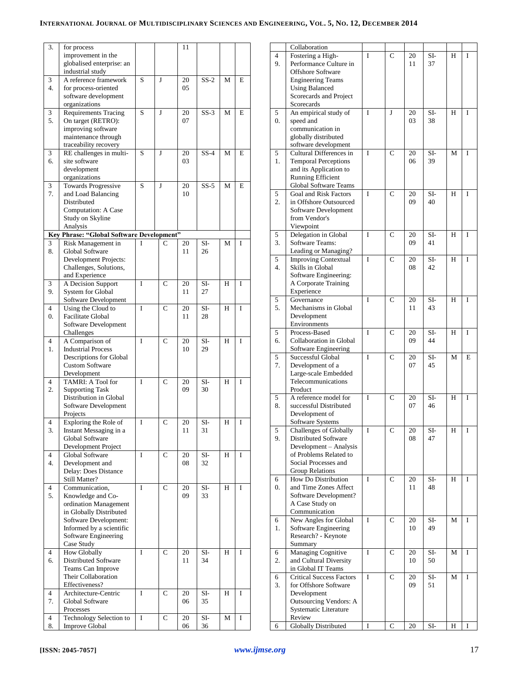| 3.             | for process<br>improvement in the<br>globalised enterprise: an |   |                | 11       |             |   |   |
|----------------|----------------------------------------------------------------|---|----------------|----------|-------------|---|---|
|                | industrial study                                               |   |                |          |             |   |   |
| 3              | A reference framework                                          | S | J              | 20       | $SS-2$      | М | E |
| 4.             | for process-oriented                                           |   |                | 05       |             |   |   |
|                | software development<br>organizations                          |   |                |          |             |   |   |
| 3              | <b>Requirements Tracing</b>                                    | S | J              | 20       | $SS-3$      | М | E |
| 5.             | On target (RETRO):                                             |   |                | 07       |             |   |   |
|                | improving software                                             |   |                |          |             |   |   |
|                | maintenance through                                            |   |                |          |             |   |   |
|                | traceability recovery                                          |   |                |          |             |   |   |
| 3              | RE challenges in multi-                                        | S | J              | 20       | $SS-4$      | М | E |
| 6.             | site software                                                  |   |                | 03       |             |   |   |
|                | development<br>organizations                                   |   |                |          |             |   |   |
| 3              | <b>Towards Progressive</b>                                     | S | J              | 20       | $SS-5$      | M | E |
| 7.             | and Load Balancing                                             |   |                | 10       |             |   |   |
|                | Distributed                                                    |   |                |          |             |   |   |
|                | <b>Computation: A Case</b>                                     |   |                |          |             |   |   |
|                | Study on Skyline                                               |   |                |          |             |   |   |
|                | Analysis                                                       |   |                |          |             |   |   |
|                | Key Phrase: "Global Software Development"                      | I |                |          |             |   |   |
| 3<br>8.        | Risk Management in<br>Global Software                          |   | С              | 20<br>11 | SI-<br>26   | М | I |
|                | Development Projects:                                          |   |                |          |             |   |   |
|                | Challenges, Solutions,                                         |   |                |          |             |   |   |
|                | and Experience                                                 |   |                |          |             |   |   |
| 3              | A Decision Support                                             | I | $\overline{C}$ | 20       | SI-         | H | I |
| 9.             | System for Global                                              |   |                | 11       | 27          |   |   |
|                | Software Development                                           |   |                |          |             |   |   |
| $\overline{4}$ | Using the Cloud to                                             | I | C              | 20       | SI-         | H | I |
| 0.             | Facilitate Global<br>Software Development                      |   |                | 11       | 28          |   |   |
|                | Challenges                                                     |   |                |          |             |   |   |
| $\overline{4}$ | A Comparison of                                                | I | C              | 20       | SI-         | H | I |
| 1.             | <b>Industrial Process</b>                                      |   |                | 10       | 29          |   |   |
|                | Descriptions for Global                                        |   |                |          |             |   |   |
|                | <b>Custom Software</b>                                         |   |                |          |             |   |   |
|                | Development                                                    |   |                |          |             |   |   |
| 4<br>2.        | TAMRI: A Tool for<br><b>Supporting Task</b>                    | Ī | C              | 20<br>09 | SI-<br>30   | H | I |
|                | Distribution in Global                                         |   |                |          |             |   |   |
|                | Software Development                                           |   |                |          |             |   |   |
|                | Projects                                                       |   |                |          |             |   |   |
| 4              | Exploring the Role of                                          | I | C              | 20       | SI-         | H | 1 |
| 3.             | Instant Messaging in a                                         |   |                | 11       | 31          |   |   |
|                | Global Software                                                |   |                |          |             |   |   |
|                | Development Project<br><b>Global Software</b>                  | I | $\overline{C}$ |          |             | H | I |
| 4<br>4.        | Development and                                                |   |                | 20<br>08 | $SI-$<br>32 |   |   |
|                | Delay: Does Distance                                           |   |                |          |             |   |   |
|                | Still Matter?                                                  |   |                |          |             |   |   |
| 4              | Communication,                                                 | I | $\mathsf{C}$   | 20       | SI-         | Н | I |
| 5.             | Knowledge and Co-                                              |   |                | 09       | 33          |   |   |
|                | ordination Management                                          |   |                |          |             |   |   |
|                | in Globally Distributed                                        |   |                |          |             |   |   |
|                | Software Development:<br>Informed by a scientific              |   |                |          |             |   |   |
|                | Software Engineering                                           |   |                |          |             |   |   |
|                | Case Study                                                     |   |                |          |             |   |   |
| 4              | <b>How Globally</b>                                            | I | $\mathsf{C}$   | 20       | SI-         | Η | I |
| 6.             | Distributed Software                                           |   |                | 11       | 34          |   |   |
|                | Teams Can Improve                                              |   |                |          |             |   |   |
|                | Their Collaboration                                            |   |                |          |             |   |   |
|                | Effectiveness?                                                 |   |                |          |             |   |   |
| 4<br>7.        | Architecture-Centric<br>Global Software                        | I | C              | 20<br>06 | SI-<br>35   | Н | I |
|                | Processes                                                      |   |                |          |             |   |   |
| 4              | Technology Selection to                                        | I | $\mathsf{C}$   | 20       | SI-         | М | I |
| 8.             | <b>Improve Global</b>                                          |   |                | 06       | 36          |   |   |

|                       | Collaboration                                                                                                                                                        |   |               |          |           |   |   |
|-----------------------|----------------------------------------------------------------------------------------------------------------------------------------------------------------------|---|---------------|----------|-----------|---|---|
| $\overline{4}$<br>9.  | Fostering a High-<br>Performance Culture in<br><b>Offshore Software</b><br><b>Engineering Teams</b><br><b>Using Balanced</b><br>Scorecards and Project<br>Scorecards | I | C             | 20<br>11 | SI-<br>37 | H | I |
| 5<br>$\overline{0}$ . | An empirical study of<br>speed and<br>communication in<br>globally distributed<br>software development                                                               | I | J             | 20<br>03 | SI-<br>38 | H | I |
| 5<br>1.               | Cultural Differences in<br><b>Temporal Perceptions</b><br>and its Application to<br><b>Running Efficient</b><br>Global Software Teams                                | I | $\mathbf C$   | 20<br>06 | SI-<br>39 | М | I |
| 5<br>$\overline{2}$ . | Goal and Risk Factors<br>in Offshore Outsourced<br>Software Development<br>from Vendor's<br>Viewpoint                                                                | I | C             | 20<br>09 | SI-<br>40 | Н | I |
| 5<br>3.               | Delegation in Global<br><b>Software Teams:</b><br>Leading or Managing?                                                                                               | I | C             | 20<br>09 | SI-<br>41 | Н | I |
| 5<br>4.               | <b>Improving Contextual</b><br>Skills in Global<br>Software Engineering:<br>A Corporate Training<br>Experience                                                       | I | C             | 20<br>08 | SI-<br>42 | H | I |
| 5<br>5.               | Governance<br>Mechanisms in Global<br>Development<br>Environments                                                                                                    | I | C             | 20<br>11 | SI-<br>43 | H | I |
| 5<br>6.               | Process-Based<br>Collaboration in Global<br>Software Engineering                                                                                                     | I | $\mathcal{C}$ | 20<br>09 | SI-<br>44 | H | I |
| 5<br>7.               | Successful Global<br>Development of a<br>Large-scale Embedded<br>Telecommunications<br>Product                                                                       | I | C             | 20<br>07 | SI-<br>45 | М | E |
| 5<br>8.               | A reference model for<br>successful Distributed<br>Development of<br>Software Systems                                                                                | I | C             | 20<br>07 | SI-<br>46 | Н | I |
| 5<br>9.               | <b>Challenges of Globally</b><br>Distributed Software<br>Development - Analysis<br>of Problems Related to<br>Social Processes and<br><b>Group Relations</b>          | I | С             | 20<br>08 | SI-<br>47 | Н | I |
| 6<br>0.               | How Do Distribution<br>and Time Zones Affect<br>Software Development?<br>A Case Study on<br>Communication                                                            | I | C             | 20<br>11 | SI-<br>48 | H | Ī |
| 6<br>1.               | New Angles for Global<br>Software Engineering<br>Research? - Keynote<br>Summary                                                                                      | I | C             | 20<br>10 | SI-<br>49 | М | Ī |
| 6<br>2.               | Managing Cognitive<br>and Cultural Diversity<br>in Global IT Teams                                                                                                   | I | C             | 20<br>10 | SI-<br>50 | М | I |
| 6<br>3.               | <b>Critical Success Factors</b><br>for Offshore Software<br>Development<br>Outsourcing Vendors: A<br>Systematic Literature<br>Review                                 | I | C             | 20<br>09 | SI-<br>51 | M | I |
| 6                     | <b>Globally Distributed</b>                                                                                                                                          | I | C             | 20       | SI-       | Н | I |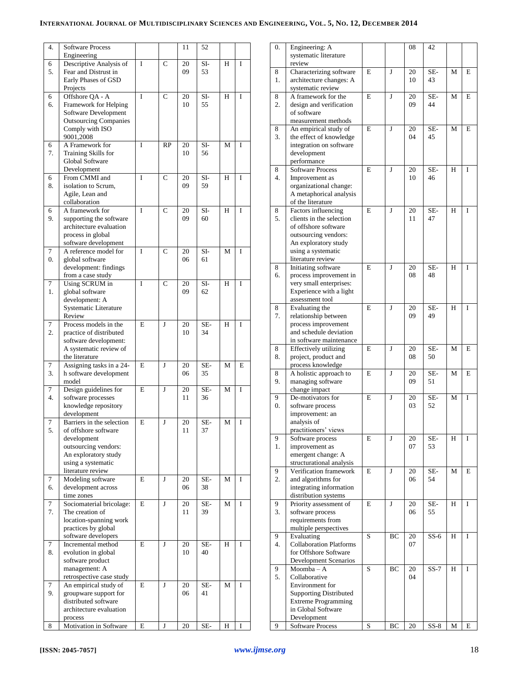| 4.               | <b>Software Process</b>                       |   |               | 11       | 52        |   |              |
|------------------|-----------------------------------------------|---|---------------|----------|-----------|---|--------------|
| 6                | Engineering<br>Descriptive Analysis of        | I | $\mathsf{C}$  | 20       | SI-       | H | I            |
| 5.               | Fear and Distrust in                          |   |               | 09       | 53        |   |              |
|                  | Early Phases of GSD                           |   |               |          |           |   |              |
|                  | Projects                                      |   |               |          |           |   |              |
| 6<br>6.          | Offshore QA - A<br>Framework for Helping      | I | $\mathsf{C}$  | 20<br>10 | SI-<br>55 | H | I            |
|                  | Software Development                          |   |               |          |           |   |              |
|                  | <b>Outsourcing Companies</b>                  |   |               |          |           |   |              |
|                  | Comply with ISO                               |   |               |          |           |   |              |
| 6                | 9001,2008<br>A Framework for                  | I | RP            | 20       | SI-       | М | I            |
| 7.               | Training Skills for                           |   |               | 10       | 56        |   |              |
|                  | Global Software                               |   |               |          |           |   |              |
|                  | Development                                   |   |               |          |           |   |              |
| 6<br>8.          | From CMMI and<br>isolation to Scrum,          | I | $\mathcal{C}$ | 20<br>09 | SI-<br>59 | H | I            |
|                  | Agile, Lean and                               |   |               |          |           |   |              |
|                  | collaboration                                 |   |               |          |           |   |              |
| 6                | A framework for                               | I | $\mathcal{C}$ | 20       | SI-       | H | $\mathbf I$  |
| 9.               | supporting the software                       |   |               | 09       | 60        |   |              |
|                  | architecture evaluation<br>process in global  |   |               |          |           |   |              |
|                  | software development                          |   |               |          |           |   |              |
| 7                | A reference model for                         | I | $\mathcal{C}$ | 20       | $SI-$     | М | $\mathbf I$  |
| $\overline{0}$ . | global software                               |   |               | 06       | 61        |   |              |
|                  | development: findings<br>from a case study    |   |               |          |           |   |              |
| 7                | Using SCRUM in                                | I | $\mathbf C$   | 20       | SI-       | H | I            |
| 1.               | global software                               |   |               | 09       | 62        |   |              |
|                  | development: A                                |   |               |          |           |   |              |
|                  | Systematic Literature<br>Review               |   |               |          |           |   |              |
| 7                | Process models in the                         | E | J             | 20       | SE-       | H | I            |
| 2.               | practice of distributed                       |   |               | 10       | 34        |   |              |
|                  | software development:                         |   |               |          |           |   |              |
|                  | A systematic review of                        |   |               |          |           |   |              |
| 7                | the literature<br>Assigning tasks in a 24-    | E | J             | 20       | SE-       | М | E            |
| 3.               | h software development                        |   |               | 06       | 35        |   |              |
|                  | model                                         |   |               |          |           |   |              |
| 7                | Design guidelines for                         | E | J             | 20       | SE-       | M | I            |
| 4.               | software processes<br>knowledge repository    |   |               | 11       | 36        |   |              |
|                  | development                                   |   |               |          |           |   |              |
| 7                | Barriers in the selection                     | E | J             | 20       | SE-       | M | 1            |
| 5.               | of offshore software                          |   |               | 11       | 37        |   |              |
|                  | development<br>outsourcing vendors:           |   |               |          |           |   |              |
|                  | An exploratory study                          |   |               |          |           |   |              |
|                  | using a systematic                            |   |               |          |           |   |              |
|                  | literature review                             |   |               |          |           |   |              |
| 7<br>6.          | Modeling software<br>development across       | E | J             | 20<br>06 | SE-<br>38 | М | I            |
|                  | time zones                                    |   |               |          |           |   |              |
| $\tau$           | Sociomaterial bricolage:                      | E | J             | 20       | SE-       | М | I            |
| 7.               | The creation of                               |   |               | 11       | 39        |   |              |
|                  | location-spanning work<br>practices by global |   |               |          |           |   |              |
|                  | software developers                           |   |               |          |           |   |              |
| $\tau$           | Incremental method                            | E | $\mathbf{J}$  | $20\,$   | SE-       | H | $\mathbf{I}$ |
| 8.               | evolution in global                           |   |               | 10       | 40        |   |              |
|                  | software product                              |   |               |          |           |   |              |
|                  | management: A<br>retrospective case study     |   |               |          |           |   |              |
| 7                | An empirical study of                         | E | $\mathbf{J}$  | $20\,$   | SE-       | М | $\mathbf{I}$ |
| 9.               | groupware support for                         |   |               | 06       | 41        |   |              |
|                  | distributed software                          |   |               |          |           |   |              |
|                  | architecture evaluation<br>process            |   |               |          |           |   |              |
| 8                | Motivation in Software                        | E | J             | $20\,$   | SE-       | H | I            |

| 0.               | Engineering: A                                          |   |    | 08       | 42        |   |   |
|------------------|---------------------------------------------------------|---|----|----------|-----------|---|---|
|                  | systematic literature<br>review                         |   |    |          |           |   |   |
| 8                | Characterizing software                                 | E | J  | 20       | SE-       | М | E |
| 1.               | architecture changes: A                                 |   |    | 10       | 43        |   |   |
| 8                | systematic review<br>A framework for the                | E | J  | 20       | SE-       | M | E |
| $\overline{2}$ . | design and verification                                 |   |    | 09       | 44        |   |   |
|                  | of software                                             |   |    |          |           |   |   |
|                  | measurement methods                                     |   |    |          |           |   |   |
| 8<br>3.          | An empirical study of<br>the effect of knowledge        | E | J  | 20<br>04 | SE-<br>45 | M | E |
|                  | integration on software                                 |   |    |          |           |   |   |
|                  | development                                             |   |    |          |           |   |   |
| 8                | performance<br><b>Software Process</b>                  | E | J  | 20       | SE-       | H | I |
| 4.               | Improvement as                                          |   |    | 10       | 46        |   |   |
|                  | organizational change:                                  |   |    |          |           |   |   |
|                  | A metaphorical analysis<br>of the literature            |   |    |          |           |   |   |
| 8                | Factors influencing                                     | E | J  | 20       | SE-       | H | I |
| 5.               | clients in the selection                                |   |    | 11       | 47        |   |   |
|                  | of offshore software                                    |   |    |          |           |   |   |
|                  | outsourcing vendors:<br>An exploratory study            |   |    |          |           |   |   |
|                  | using a systematic                                      |   |    |          |           |   |   |
|                  | literature review                                       |   |    |          |           |   |   |
| 8<br>6.          | Initiating software<br>process improvement in           | E | J  | 20<br>08 | SE-<br>48 | H | T |
|                  | very small enterprises:                                 |   |    |          |           |   |   |
|                  | Experience with a light                                 |   |    |          |           |   |   |
|                  | assessment tool                                         | E | J  |          | SE-       | H | T |
| 8<br>7.          | Evaluating the<br>relationship between                  |   |    | 20<br>09 | 49        |   |   |
|                  | process improvement                                     |   |    |          |           |   |   |
|                  | and schedule deviation                                  |   |    |          |           |   |   |
| 8                | in software maintenance<br><b>Effectively</b> utilizing | E | J  | 20       | SE-       | M | E |
| 8.               | project, product and                                    |   |    | 08       | 50        |   |   |
|                  | process knowledge                                       |   |    |          |           |   |   |
| 8<br>9.          | A holistic approach to<br>managing software             | E | J  | 20<br>09 | SE-<br>51 | М | E |
|                  | change impact                                           |   |    |          |           |   |   |
| 9                | De-motivators for                                       | E | J  | 20       | SE-       | M | I |
| $\overline{0}$ . | software process<br>improvement: an                     |   |    | 03       | 52        |   |   |
|                  | analysis of                                             |   |    |          |           |   |   |
|                  | practitioners' views                                    |   |    |          |           |   |   |
| 9                | Software process                                        | E | J  | 20       | SE-       | H | I |
| 1.               | improvement as<br>emergent change: A                    |   |    | 07       | 53        |   |   |
|                  | structurational analysis                                |   |    |          |           |   |   |
| 9                | Verification framework                                  | E | J  | 20       | SE-       | M | E |
| 2.               | and algorithms for<br>integrating information           |   |    | 06       | 54        |   |   |
|                  | distribution systems                                    |   |    |          |           |   |   |
| 9                | Priority assessment of                                  | E | J  | 20       | SE-       | H | I |
| 3.               | software process<br>requirements from                   |   |    | 06       | 55        |   |   |
|                  | multiple perspectives                                   |   |    |          |           |   |   |
| 9                | Evaluating                                              | S | ВC | 20       | $SS-6$    | Н | I |
| 4.               | <b>Collaboration Platforms</b><br>for Offshore Software |   |    | 07       |           |   |   |
|                  | Development Scenarios                                   |   |    |          |           |   |   |
| 9                | Moomba-A                                                | S | ВC | 20       | $SS-7$    | Н | I |
| 5.               | Collaborative                                           |   |    | 04       |           |   |   |
|                  | Environment for<br><b>Supporting Distributed</b>        |   |    |          |           |   |   |
|                  | <b>Extreme Programming</b>                              |   |    |          |           |   |   |
|                  | in Global Software                                      |   |    |          |           |   |   |
| 9                | Development<br><b>Software Process</b>                  | S | ВC | 20       | $SS-8$    | М | E |
|                  |                                                         |   |    |          |           |   |   |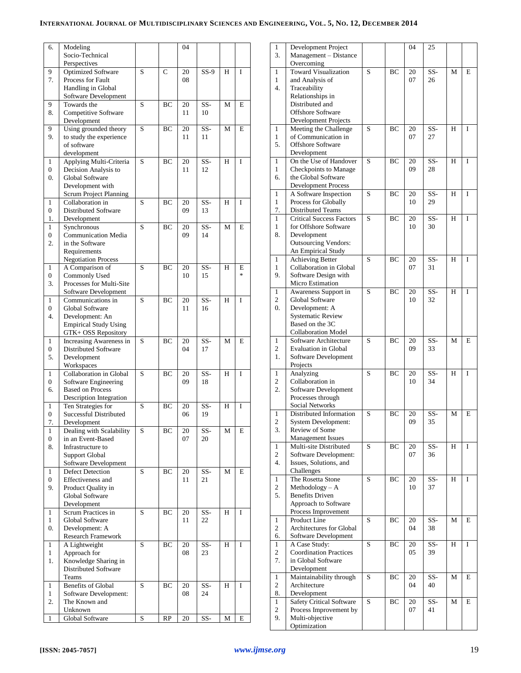| 6.               | Modeling                                         |   |             | 04       |           |   |   |
|------------------|--------------------------------------------------|---|-------------|----------|-----------|---|---|
|                  | Socio-Technical                                  |   |             |          |           |   |   |
|                  | Perspectives                                     |   |             |          |           |   |   |
| 9                | <b>Optimized Software</b>                        | S | $\mathbf C$ | 20       | $SS-9$    | H | I |
| 7.               | Process for Fault                                |   |             | 08       |           |   |   |
|                  | Handling in Global                               |   |             |          |           |   |   |
|                  | Software Development                             |   |             |          |           |   |   |
| 9                | Towards the                                      | S | BС          | 20       | SS-       | M | E |
| 8.               | Competitive Software                             |   |             | 11       | 10        |   |   |
| 9                | Development                                      | S |             |          | SS-       | M | E |
| 9.               | Using grounded theory<br>to study the experience |   | BС          | 20<br>11 | 11        |   |   |
|                  | of software                                      |   |             |          |           |   |   |
|                  | development                                      |   |             |          |           |   |   |
| 1                | Applying Multi-Criteria                          | S | BC          | 20       | SS-       | H | I |
| $\overline{0}$   | Decision Analysis to                             |   |             | 11       | 12        |   |   |
| $\overline{0}$ . | Global Software                                  |   |             |          |           |   |   |
|                  | Development with                                 |   |             |          |           |   |   |
|                  | Scrum Project Planning                           |   |             |          |           |   |   |
| 1                | Collaboration in                                 | S | BC          | 20       | SS-       | H | I |
| $\overline{0}$   | Distributed Software                             |   |             | 09       | 13        |   |   |
| 1.               | Development                                      |   |             |          |           |   |   |
| 1                | Synchronous                                      | S | BС          | 20       | SS-       | М | E |
| 0                | <b>Communication Media</b>                       |   |             | 09       | 14        |   |   |
| 2.               | in the Software                                  |   |             |          |           |   |   |
|                  | Requirements                                     |   |             |          |           |   |   |
|                  | <b>Negotiation Process</b>                       |   |             |          |           |   |   |
| 1                | A Comparison of                                  | S | BС          | 20       | SS-       | Н | E |
| 0                | Commonly Used                                    |   |             | 10       | 15        |   | * |
| 3.               | Processes for Multi-Site                         |   |             |          |           |   |   |
|                  | Software Development                             |   |             |          |           |   |   |
| 1                | Communications in                                | S | BС          | 20       | SS-       | Н | I |
| $\overline{0}$   | Global Software                                  |   |             | 11       | 16        |   |   |
| 4.               | Development: An                                  |   |             |          |           |   |   |
|                  | <b>Empirical Study Using</b>                     |   |             |          |           |   |   |
|                  | GTK+ OSS Repository                              |   |             |          |           |   |   |
| 1                | Increasing Awareness in                          | S | BС          | 20       | SS-       | М | E |
| 0<br>5.          | Distributed Software                             |   |             | 04       | 17        |   |   |
|                  | Development<br>Workspaces                        |   |             |          |           |   |   |
| 1                | Collaboration in Global                          | S | BС          | 20       | SS-       | Н | I |
| $\overline{0}$   | Software Engineering                             |   |             | 09       | 18        |   |   |
| 6.               | <b>Based on Process</b>                          |   |             |          |           |   |   |
|                  | Description Integration                          |   |             |          |           |   |   |
| 1                | Ten Strategies for                               | S | BC          | 20       | SS-       | H | I |
| 0                | Successful Distributed                           |   |             | 06       | 19        |   |   |
| 7.               | Development                                      |   |             |          |           |   |   |
| 1                | Dealing with Scalability                         | S | BС          | 20       | SS-       | M | E |
| 0                | in an Event-Based                                |   |             | 07       | 20        |   |   |
| 8.               | Infrastructure to                                |   |             |          |           |   |   |
|                  | Support Global                                   |   |             |          |           |   |   |
|                  | Software Development                             |   |             |          |           |   |   |
| 1                | <b>Defect Detection</b>                          | S | BС          | 20       | SS-       | M | E |
| 0                | Effectiveness and                                |   |             | 11       | 21        |   |   |
| 9.               | Product Quality in                               |   |             |          |           |   |   |
|                  | <b>Global Software</b>                           |   |             |          |           |   |   |
|                  | Development                                      |   |             |          |           |   |   |
| 1<br>1           | Scrum Practices in<br><b>Global Software</b>     | S | BС          | 20       | SS-<br>22 | H | I |
| 0.               |                                                  |   |             | 11       |           |   |   |
|                  | Development: A<br>Research Framework             |   |             |          |           |   |   |
| 1                | A Lightweight                                    | S | BC          | 20       | SS-       | H | I |
| $\mathbf{1}$     | Approach for                                     |   |             | 08       | 23        |   |   |
| 1.               | Knowledge Sharing in                             |   |             |          |           |   |   |
|                  | Distributed Software                             |   |             |          |           |   |   |
|                  | Teams                                            |   |             |          |           |   |   |
| 1                | <b>Benefits of Global</b>                        | S | BC          | 20       | SS-       | H | I |
| $\mathbf{1}$     | Software Development:                            |   |             | 08       | 24        |   |   |
| 2.               | The Known and                                    |   |             |          |           |   |   |
|                  | Unknown                                          |   |             |          |           |   |   |
| $\mathbf{1}$     | Global Software                                  | S | RP          | 20       | SS-       | М | E |

| 1                             | Development Project                                         |   |    | 04       | 25        |   |   |
|-------------------------------|-------------------------------------------------------------|---|----|----------|-----------|---|---|
| 3.                            | Management - Distance<br>Overcoming                         |   |    |          |           |   |   |
| 1                             | <b>Toward Visualization</b>                                 | S | BC | 20       | SS-       | M | E |
| 1                             | and Analysis of                                             |   |    | 07       | 26        |   |   |
| 4.                            | Traceability                                                |   |    |          |           |   |   |
|                               | Relationships in                                            |   |    |          |           |   |   |
|                               | Distributed and                                             |   |    |          |           |   |   |
|                               | <b>Offshore Software</b>                                    |   |    |          |           |   |   |
|                               | Development Projects                                        |   |    |          |           |   |   |
| 1                             | Meeting the Challenge                                       | S | BC | 20       | $SS-$     | H | I |
| 1<br>5.                       | of Communication in<br><b>Offshore Software</b>             |   |    | 07       | 27        |   |   |
|                               | Development                                                 |   |    |          |           |   |   |
| 1                             | On the Use of Handover                                      | S | ВC | 20       | SS-       | Н | I |
| 1                             | Checkpoints to Manage                                       |   |    | 09       | 28        |   |   |
| 6.                            | the Global Software                                         |   |    |          |           |   |   |
|                               | <b>Development Process</b>                                  |   |    |          |           |   |   |
| 1                             | A Software Inspection                                       | S | ВC | 20       | SS-       | Н | I |
| 1                             | Process for Globally                                        |   |    | 10       | 29        |   |   |
| 7.<br>1                       | <b>Distributed Teams</b><br><b>Critical Success Factors</b> | S | BC | 20       | SS-       | H | I |
| $\mathbf{1}$                  | for Offshore Software                                       |   |    | 10       | 30        |   |   |
| 8.                            | Development                                                 |   |    |          |           |   |   |
|                               | <b>Outsourcing Vendors:</b>                                 |   |    |          |           |   |   |
|                               | An Empirical Study                                          |   |    |          |           |   |   |
| 1                             | <b>Achieving Better</b>                                     | S | BC | 20       | SS-       | H | I |
| 1                             | Collaboration in Global                                     |   |    | 07       | 31        |   |   |
| 9.                            | Software Design with                                        |   |    |          |           |   |   |
| 1                             | Micro Estimation<br>Awareness Support in                    | S | ВC | 20       | SS-       | H | I |
| $\mathbf{c}$                  | Global Software                                             |   |    | 10       | 32        |   |   |
| 0.                            | Development: A                                              |   |    |          |           |   |   |
|                               | <b>Systematic Review</b>                                    |   |    |          |           |   |   |
|                               | Based on the 3C                                             |   |    |          |           |   |   |
|                               | <b>Collaboration Model</b>                                  |   |    |          |           |   |   |
| 1                             | Software Architecture                                       | S | ВC | 20       | SS-       | М | E |
| 2                             | <b>Evaluation in Global</b>                                 |   |    | 09       | 33        |   |   |
| 1.                            | Software Development<br>Projects                            |   |    |          |           |   |   |
| 1                             | Analyzing                                                   | S | ВC | 20       | SS-       | H | I |
| 2                             | Collaboration in                                            |   |    | 10       | 34        |   |   |
| 2.                            | Software Development                                        |   |    |          |           |   |   |
|                               | Processes through                                           |   |    |          |           |   |   |
|                               | Social Networks                                             |   |    |          |           |   |   |
| 1                             | Distributed Information                                     | S | BC | 20       | SS-       | М | E |
| $\overline{\mathbf{c}}$<br>3. | <b>System Development:</b><br>Review of Some                |   |    | 09       | 35        |   |   |
|                               | <b>Management Issues</b>                                    |   |    |          |           |   |   |
| 1                             | Multi-site Distributed                                      | S | BC | 20       | SS-       | Н | I |
| $\overline{c}$                | Software Development:                                       |   |    | 07       | 36        |   |   |
| 4.                            | Issues, Solutions, and                                      |   |    |          |           |   |   |
|                               | Challenges                                                  |   |    |          |           |   |   |
| $\mathbf{1}$                  | The Rosetta Stone                                           | S | ВC | 20       | SS-       | H | I |
| $\overline{c}$                | Methodology - A                                             |   |    | 10       | 37        |   |   |
| 5.                            | <b>Benefits Driven</b><br>Approach to Software              |   |    |          |           |   |   |
|                               | Process Improvement                                         |   |    |          |           |   |   |
| $\mathbf{1}$                  | Product Line                                                | S | ВC | 20       | SS-       | М | E |
| 2                             | Architectures for Global                                    |   |    | 04       | 38        |   |   |
| 6.                            | Software Development                                        |   |    |          |           |   |   |
| $\mathbf{1}$                  | A Case Study:                                               | S | ВC | 20       | SS-       | Н | I |
| $\overline{c}$                | <b>Coordination Practices</b>                               |   |    | 05       | 39        |   |   |
| 7.                            | in Global Software                                          |   |    |          |           |   |   |
|                               | Development                                                 | S |    |          |           |   |   |
| $\mathbf{1}$<br>$\mathbf{c}$  | Maintainability through<br>Architecture                     |   | ВC | 20<br>04 | SS-<br>40 | М | E |
| 8.                            | Development                                                 |   |    |          |           |   |   |
| $\mathbf{1}$                  | <b>Safety Critical Software</b>                             | S | ВC | 20       | SS-       | М | E |
| $\overline{c}$                | Process Improvement by                                      |   |    | 07       | 41        |   |   |
|                               |                                                             |   |    |          |           |   |   |
| 9.                            | Multi-objective<br>Optimization                             |   |    |          |           |   |   |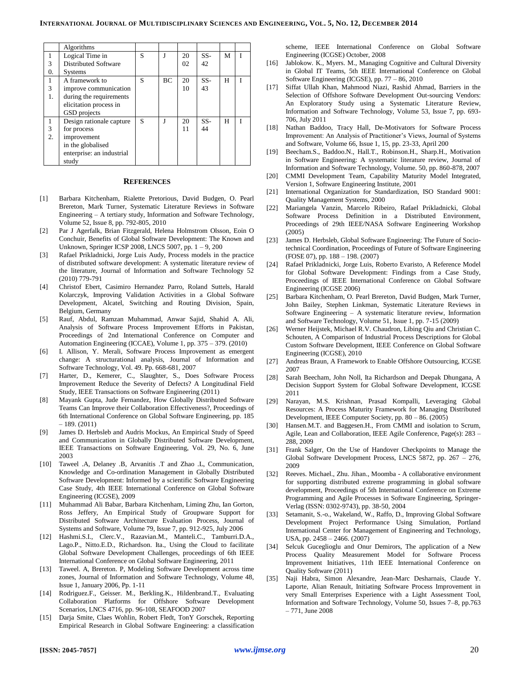|    | Algorithms                |   |    |    |       |   |  |
|----|---------------------------|---|----|----|-------|---|--|
|    | Logical Time in           | S | J  | 20 | SS-   | M |  |
| 3  | Distributed Software      |   |    | 02 | 42    |   |  |
| 0. | <b>Systems</b>            |   |    |    |       |   |  |
| 1  | A framework to            | S | BC | 20 | $SS-$ | H |  |
| 3  | improve communication     |   |    | 10 | 43    |   |  |
|    | during the requirements   |   |    |    |       |   |  |
|    | elicitation process in    |   |    |    |       |   |  |
|    | GSD projects              |   |    |    |       |   |  |
|    | Design rationale capture  | S | J  | 20 | SS-   | н |  |
| 3  | for process               |   |    | 11 | 44    |   |  |
| 2. | improvement               |   |    |    |       |   |  |
|    | in the globalised         |   |    |    |       |   |  |
|    | enterprise: an industrial |   |    |    |       |   |  |
|    | study                     |   |    |    |       |   |  |

#### **REFERENCES**

- [1] Barbara Kitchenham, Rialette Pretorious, David Budgen, O. Pearl Brereton, Mark Turner, Systematic Literature Reviews in Software Engineering – A tertiary study, Information and Software Technology, Volume 52, Issue 8, pp. 792-805, 2010
- [2] Par J Agerfalk, Brian Fitzgerald, Helena Holmstrom Olsson, Eoin O Conchuir, Benefits of Global Software Development: The Known and Unknown, Springer ICSP 2008, LNCS 5007, pp. 1 – 9, 200
- [3] Rafael Prikladnicki, Jorge Luis Audy, Process models in the practice of distributed software development: A systematic literature review of the literature, Journal of Information and Software Technology 52 (2010) 779-791
- [4] Christof Ebert, Casimiro Hernandez Parro, Roland Suttels, Harald Kolarczyk, Improving Validation Activities in a Global Software Development, Alcatel, Switching and Routing Division, Spain, Belgium, Germany
- [5] Rauf, Abdul, Ramzan Muhammad, Anwar Sajid, Shahid A. Ali, Analysis of Software Process Improvement Efforts in Pakistan, Proceedings of 2nd International Conference on Computer and Automation Engineering (ICCAE), Volume 1, pp. 375 – 379. (2010)
- [6] I. Allison, Y. Merali, Software Process Improvement as emergent change: A structurational analysis, Journal of Information and Software Technology, Vol. 49. Pp. 668-681, 2007
- [7] Harter, D., Kemerer, C., Slaughter, S., Does Software Process Improvement Reduce the Severity of Defects? A Longitudinal Field Study, IEEE Transactions on Software Engineering (2011)
- [8] Mayank Gupta, Jude Fernandez, How Globally Distributed Software Teams Can Improve their Collaboration Effectiveness?, Proceedings of 6th International Conference on Global Software Engineering, pp. 185  $-189. (2011)$
- [9] James D. Herbsleb and Audris Mockus, An Empirical Study of Speed and Communication in Globally Distributed Software Development, IEEE Transactions on Software Engineering, Vol. 29, No. 6, June 2003
- [10] Taweel .A, Delaney .B, Arvanitis .T and Zhao .L, Communication, Knowledge and Co-ordination Management in Globally Distributed Software Development: Informed by a scientific Software Engineering Case Study, 4th IEEE International Conference on Global Software Engineering (ICGSE), 2009
- [11] Muhammad Ali Babar, Barbara Kitchenham, Liming Zhu, Ian Gorton, Ross Jeffery, An Empirical Study of Groupware Support for Distributed Software Architecture Evaluation Process, Journal of Systems and Software, Volume 79, Issue 7, pp. 912-925, July 2006
- [12] Hashmi.S.I., Clerc.V., Razavian.M., Manteli.C., Tamburri.D.A., Lago.P., Nitto.E.D., Richardson. Ita., Using the Cloud to facilitate Global Software Development Challenges, proceedings of 6th IEEE International Conference on Global Software Engineering, 2011
- [13] Taweel. A, Brereton. P, Modeling Software Development across time zones, Journal of Information and Software Technology, Volume 48, Issue 1, January 2006, Pp. 1-11
- [14] Rodriguez.F., Geisser. M., Berkling.K., Hildenbrand.T., Evaluating Collaboration Platforms for Offshore Software Development Scenarios, LNCS 4716, pp. 96-108, SEAFOOD 2007
- [15] Darja Smite, Claes Wohlin, Robert Fledt, TonY Gorschek, Reporting Empirical Research in Global Software Engineering: a classification

scheme, IEEE International Conference on Global Software Engineering (ICGSE) October, 2008

- [16] Jablokow. K., Myers. M., Managing Cognitive and Cultural Diversity in Global IT Teams, 5th IEEE International Conference on Global Software Engineering (ICGSE), pp. 77 – 86, 2010
- [17] Siffat Ullah Khan, Mahmood Niazi, Rashid Ahmad, Barriers in the Selection of Offshore Software Development Out-sourcing Vendors: An Exploratory Study using a Systematic Literature Review, Information and Software Technology, Volume 53, Issue 7, pp. 693- 706, July 2011
- [18] Nathan Baddoo, Tracy Hall, De-Motivators for Software Process Improvement: An Analysis of Practitioner's Views, Journal of Systems and Software, Volume 66, Issue 1, 15, pp. 23-33, April 200
- [19] Beecham.S., Baddoo.N., Hall.T., Robinson.H., Sharp.H., Motivation in Software Engineering: A systematic literature review, Journal of Information and Software Technology, Volume. 50, pp. 860-878, 2007
- [20] CMMI Development Team, Capability Maturity Model Integrated, Version 1, Software Engineering Institute, 2001
- [21] International Organization for Standardization, ISO Standard 9001: Quality Management Systems, 2000
- [22] Mariangela Vanzin, Marcelo Ribeiro, Rafael Prikladnicki, Global Software Process Definition in a Distributed Environment, Proceedings of 29th IEEE/NASA Software Engineering Workshop (2005)
- [23] James D. Herbsleb, Global Software Engineering: The Future of Sociotechnical Coordination, Proceedings of Future of Software Engineering (FOSE 07), pp. 188 – 198. (2007)
- [24] Rafael Prikladnicki, Jorge Luis, Roberto Evaristo, A Reference Model for Global Software Development: Findings from a Case Study, Proceedings of IEEE International Conference on Global Software Engineering (ICGSE 2006)
- [25] Barbara Kitchenham, O. Pearl Brereton, David Budgen, Mark Turner, John Bailey, Stephen Linkman, Systematic Literature Reviews in Software Engineering – A systematic literature review, Information and Software Technology, Volume 51, Issue 1, pp. 7-15 (2009)
- [26] Werner Heijstek, Michael R.V. Chaudron, Libing Qiu and Christian C. Schouten, A Comparison of Industrial Process Descriptions for Global Custom Software Development, IEEE Conference on Global Software Engineering (ICGSE), 2010
- [27] Andreas Braun, A Framework to Enable Offshore Outsourcing, ICGSE 2007
- [28] Sarah Beecham, John Noll, Ita Richardson and Deepak Dhungana, A Decision Support System for Global Software Development, ICGSE 2011
- [29] Narayan, M.S. Krishnan, Prasad Kompalli, Leveraging Global Resources: A Process Maturity Framework for Managing Distributed Development, IEEE Computer Society, pp. 80 – 86. (2005)
- [30] Hansen.M.T. and Baggesen.H., From CMMI and isolation to Scrum, Agile, Lean and Collaboration, IEEE Agile Conference, Page(s): 283 – 288, 2009
- [31] Frank Salger, On the Use of Handover Checkpoints to Manage the Global Software Development Process, LNCS 5872, pp. 267 – 276, 2009
- [32] Reeves. Michael., Zhu. Jihan., Moomba A collaborative environment for supporting distributed extreme programming in global software development, Proceedings of 5th International Conference on Extreme Programming and Agile Processes in Software Engineering, Springer-Verlag (ISSN: 0302-9743), pp. 38-50, 2004
- [33] Setamanit, S.-o., Wakeland, W., Raffo, D., Improving Global Software Development Project Performance Using Simulation, Portland International Center for Management of Engineering and Technology, USA, pp. 2458 – 2466. (2007)
- [34] Selcuk Guceglioglu and Onur Demirors, The application of a New Process Quality Measurement Model for Software Process Improvement Initiatives, 11th IEEE International Conference on Quality Software (2011)
- [35] Naji Habra, Simon Alexandre, Jean-Marc Desharnais, Claude Y. Laporte, Alian Renault, Initiating Software Process Improvement in very Small Enterprises Experience with a Light Assessment Tool, Information and Software Technology, Volume 50, Issues 7–8, pp.763 – 771, June 2008